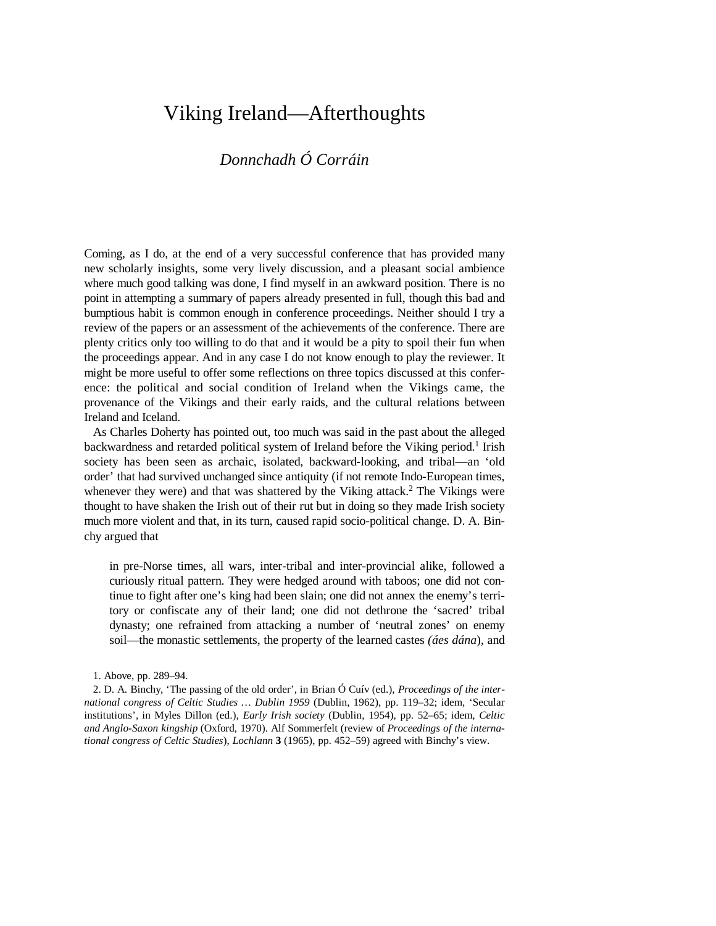# Viking Ireland—Afterthoughts

## *Donnchadh Ó Corráin*

Coming, as I do, at the end of a very successful conference that has provided many new scholarly insights, some very lively discussion, and a pleasant social ambience where much good talking was done, I find myself in an awkward position. There is no point in attempting a summary of papers already presented in full, though this bad and bumptious habit is common enough in conference proceedings. Neither should I try a review of the papers or an assessment of the achievements of the conference. There are plenty critics only too willing to do that and it would be a pity to spoil their fun when the proceedings appear. And in any case I do not know enough to play the reviewer. It might be more useful to offer some reflections on three topics discussed at this conference: the political and social condition of Ireland when the Vikings came, the provenance of the Vikings and their early raids, and the cultural relations between Ireland and Iceland.

As Charles Doherty has pointed out, too much was said in the past about the alleged backwardness and retarded political system of Ireland before the Viking period.<sup>1</sup> Irish society has been seen as archaic, isolated, backward-looking, and tribal—an 'old order' that had survived unchanged since antiquity (if not remote Indo-European times, whenever they were) and that was shattered by the Viking attack.<sup>2</sup> The Vikings were thought to have shaken the Irish out of their rut but in doing so they made Irish society much more violent and that, in its turn, caused rapid socio-political change. D. A. Binchy argued that

in pre-Norse times, all wars, inter-tribal and inter-provincial alike, followed a curiously ritual pattern. They were hedged around with taboos; one did not continue to fight after one's king had been slain; one did not annex the enemy's territory or confiscate any of their land; one did not dethrone the 'sacred' tribal dynasty; one refrained from attacking a number of 'neutral zones' on enemy soil—the monastic settlements, the property of the learned castes *(áes dána*), and

<sup>1.</sup> Above, pp. 289–94.

<sup>2.</sup> D. A. Binchy, 'The passing of the old order', in Brian Ó Cuív (ed.), *Proceedings of the international congress of Celtic Studies … Dublin 1959* (Dublin, 1962), pp. 119–32; idem, 'Secular institutions', in Myles Dillon (ed.), *Early Irish society* (Dublin, 1954), pp. 52–65; idem, *Celtic and Anglo-Saxon kingship* (Oxford, 1970). Alf Sommerfelt (review of *Proceedings of the international congress of Celtic Studies*), *Lochlann* **3** (1965), pp. 452–59) agreed with Binchy's view.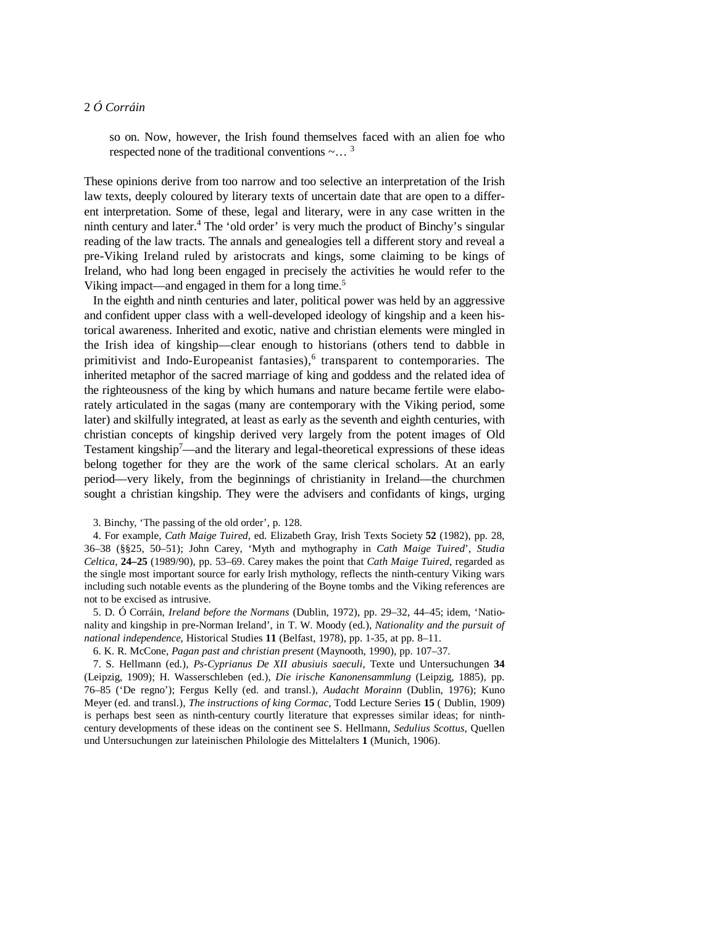so on. Now, however, the Irish found themselves faced with an alien foe who respected none of the traditional conventions  $\sim$ ...<sup>3</sup>

These opinions derive from too narrow and too selective an interpretation of the Irish law texts, deeply coloured by literary texts of uncertain date that are open to a different interpretation. Some of these, legal and literary, were in any case written in the ninth century and later.<sup>4</sup> The 'old order' is very much the product of Binchy's singular reading of the law tracts. The annals and genealogies tell a different story and reveal a pre-Viking Ireland ruled by aristocrats and kings, some claiming to be kings of Ireland, who had long been engaged in precisely the activities he would refer to the Viking impact—and engaged in them for a long time.<sup>5</sup>

In the eighth and ninth centuries and later, political power was held by an aggressive and confident upper class with a well-developed ideology of kingship and a keen historical awareness. Inherited and exotic, native and christian elements were mingled in the Irish idea of kingship—clear enough to historians (others tend to dabble in primitivist and Indo-Europeanist fantasies),<sup>6</sup> transparent to contemporaries. The inherited metaphor of the sacred marriage of king and goddess and the related idea of the righteousness of the king by which humans and nature became fertile were elaborately articulated in the sagas (many are contemporary with the Viking period, some later) and skilfully integrated, at least as early as the seventh and eighth centuries, with christian concepts of kingship derived very largely from the potent images of Old Testament kingship<sup>7</sup>—and the literary and legal-theoretical expressions of these ideas belong together for they are the work of the same clerical scholars. At an early period—very likely, from the beginnings of christianity in Ireland—the churchmen sought a christian kingship. They were the advisers and confidants of kings, urging

#### 3. Binchy, 'The passing of the old order', p. 128.

4. For example, *Cath Maige Tuired*, ed. Elizabeth Gray, Irish Texts Society **52** (1982), pp. 28, 36–38 (§§25, 50–51); John Carey, 'Myth and mythography in *Cath Maige Tuired*', *Studia Celtica*, **24–25** (1989/90), pp. 53–69. Carey makes the point that *Cath Maige Tuired*, regarded as the single most important source for early Irish mythology, reflects the ninth-century Viking wars including such notable events as the plundering of the Boyne tombs and the Viking references are not to be excised as intrusive.

5. D. Ó Corráin, *Ireland before the Normans* (Dublin, 1972), pp. 29–32, 44–45; idem, 'Nationality and kingship in pre-Norman Ireland', in T. W. Moody (ed.), *Nationality and the pursuit of national independence*, Historical Studies **11** (Belfast, 1978), pp. 1-35, at pp. 8–11.

6. K. R. McCone, *Pagan past and christian present* (Maynooth, 1990), pp. 107–37.

7. S. Hellmann (ed.), *Ps-Cyprianus De XII abusiuis saeculi*, Texte und Untersuchungen **34** (Leipzig, 1909); H. Wasserschleben (ed.), *Die irische Kanonensammlung* (Leipzig, 1885), pp. 76–85 ('De regno'); Fergus Kelly (ed. and transl.), *Audacht Morainn* (Dublin, 1976); Kuno Meyer (ed. and transl.), *The instructions of king Cormac*, Todd Lecture Series **15** ( Dublin, 1909) is perhaps best seen as ninth-century courtly literature that expresses similar ideas; for ninthcentury developments of these ideas on the continent see S. Hellmann, *Sedulius Scottus*, Quellen und Untersuchungen zur lateinischen Philologie des Mittelalters **1** (Munich, 1906).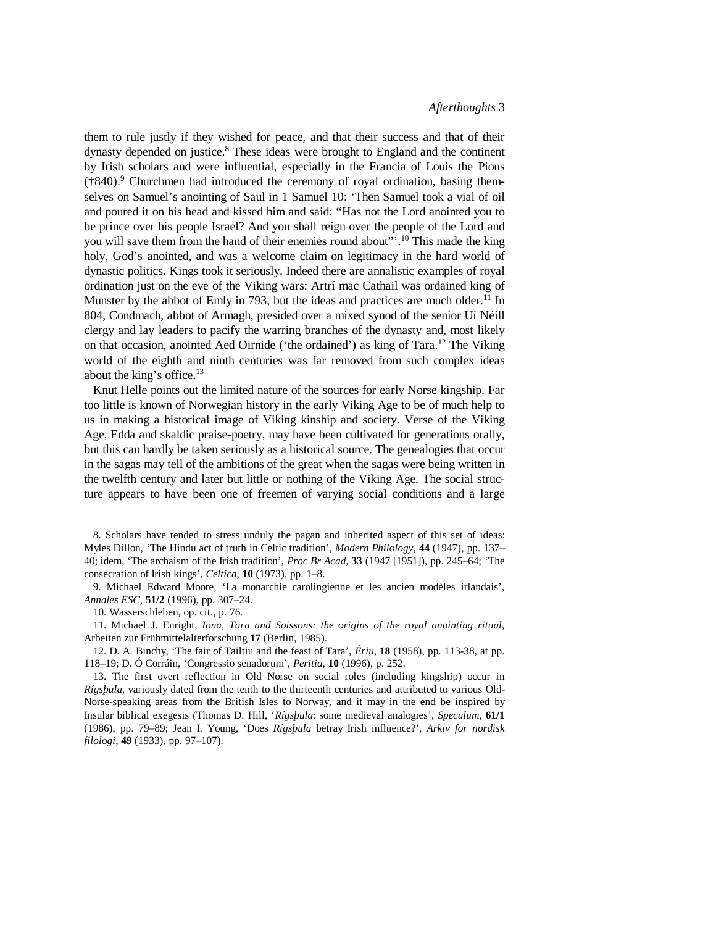them to rule justly if they wished for peace, and that their success and that of their dynasty depended on justice.<sup>8</sup> These ideas were brought to England and the continent by Irish scholars and were influential, especially in the Francia of Louis the Pious  $(\dagger 840)$ .<sup>9</sup> Churchmen had introduced the ceremony of royal ordination, basing themselves on Samuel's anointing of Saul in 1 Samuel 10: 'Then Samuel took a vial of oil and poured it on his head and kissed him and said: "Has not the Lord anointed you to be prince over his people Israel? And you shall reign over the people of the Lord and you will save them from the hand of their enemies round about"'.<sup>10</sup> This made the king holy, God's anointed, and was a welcome claim on legitimacy in the hard world of dynastic politics. Kings took it seriously. Indeed there are annalistic examples of royal ordination just on the eve of the Viking wars: Artrí mac Cathail was ordained king of Munster by the abbot of Emly in 793, but the ideas and practices are much older.<sup>11</sup> In 804, Condmach, abbot of Armagh, presided over a mixed synod of the senior Uí Néill clergy and lay leaders to pacify the warring branches of the dynasty and, most likely on that occasion, anointed Aed Oirnide ('the ordained') as king of Tara.<sup>12</sup> The Viking world of the eighth and ninth centuries was far removed from such complex ideas about the king's office. $13$ 

Knut Helle points out the limited nature of the sources for early Norse kingship. Far too little is known of Norwegian history in the early Viking Age to be of much help to us in making a historical image of Viking kinship and society. Verse of the Viking Age, Edda and skaldic praise-poetry, may have been cultivated for generations orally, but this can hardly be taken seriously as a historical source. The genealogies that occur in the sagas may tell of the ambitions of the great when the sagas were being written in the twelfth century and later but little or nothing of the Viking Age. The social structure appears to have been one of freemen of varying social conditions and a large

8. Scholars have tended to stress unduly the pagan and inherited aspect of this set of ideas: Myles Dillon, 'The Hindu act of truth in Celtic tradition', *Modern Philology*, **44** (1947), pp. 137– 40; idem, 'The archaism of the Irish tradition', *Proc Br Acad*, **33** (1947 [1951]), pp. 245–64; 'The consecration of Irish kings', *Celtica*, **10** (1973), pp. 1–8.

9. Michael Edward Moore, 'La monarchie carolingienne et les ancien modèles irlandais', *Annales ESC*, **51/2** (1996), pp. 307–24.

10. Wasserschleben, op. cit., p. 76.

11. Michael J. Enright, *Iona, Tara and Soissons: the origins of the royal anointing ritual*, Arbeiten zur Frühmittelalterforschung **17** (Berlin, 1985).

12. D. A. Binchy, 'The fair of Tailtiu and the feast of Tara', *Ériu*, **18** (1958), pp. 113-38, at pp. 118–19; D. Ó Corráin, 'Congressio senadorum', *Peritia*, **10** (1996), p. 252.

13. The first overt reflection in Old Norse on social roles (including kingship) occur in *Rígsþula*, variously dated from the tenth to the thirteenth centuries and attributed to various Old-Norse-speaking areas from the British Isles to Norway, and it may in the end be inspired by Insular biblical exegesis (Thomas D. Hill, '*Rígsþula*: some medieval analogies', *Speculum*, **61/1** (1986), pp. 79–89; Jean I. Young, 'Does *Rígsþula* betray Irish influence?', *Arkiv for nordisk filologi*, **49** (1933), pp. 97–107).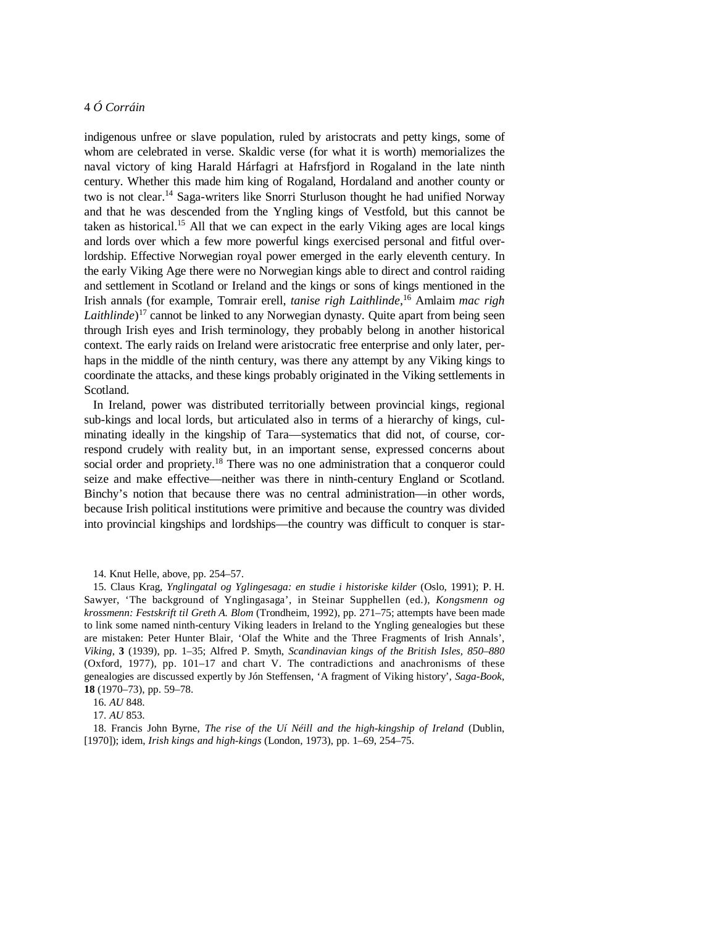indigenous unfree or slave population, ruled by aristocrats and petty kings, some of whom are celebrated in verse. Skaldic verse (for what it is worth) memorializes the naval victory of king Harald Hárfagri at Hafrsfjord in Rogaland in the late ninth century. Whether this made him king of Rogaland, Hordaland and another county or two is not clear.<sup>14</sup> Saga-writers like Snorri Sturluson thought he had unified Norway and that he was descended from the Yngling kings of Vestfold, but this cannot be taken as historical.<sup>15</sup> All that we can expect in the early Viking ages are local kings and lords over which a few more powerful kings exercised personal and fitful overlordship. Effective Norwegian royal power emerged in the early eleventh century. In the early Viking Age there were no Norwegian kings able to direct and control raiding and settlement in Scotland or Ireland and the kings or sons of kings mentioned in the Irish annals (for example, Tomrair erell, *tanise righ Laithlinde*, <sup>16</sup> Amlaim *mac righ*  Laithlinde)<sup>17</sup> cannot be linked to any Norwegian dynasty. Quite apart from being seen through Irish eyes and Irish terminology, they probably belong in another historical context. The early raids on Ireland were aristocratic free enterprise and only later, perhaps in the middle of the ninth century, was there any attempt by any Viking kings to coordinate the attacks, and these kings probably originated in the Viking settlements in Scotland.

In Ireland, power was distributed territorially between provincial kings, regional sub-kings and local lords, but articulated also in terms of a hierarchy of kings, culminating ideally in the kingship of Tara—systematics that did not, of course, correspond crudely with reality but, in an important sense, expressed concerns about social order and propriety.<sup>18</sup> There was no one administration that a conqueror could seize and make effective—neither was there in ninth-century England or Scotland. Binchy's notion that because there was no central administration—in other words, because Irish political institutions were primitive and because the country was divided into provincial kingships and lordships—the country was difficult to conquer is star-

<sup>14.</sup> Knut Helle, above, pp. 254–57.

<sup>15.</sup> Claus Krag, *Ynglingatal og Yglingesaga: en studie i historiske kilder* (Oslo, 1991); P. H. Sawyer, 'The background of Ynglingasaga', in Steinar Supphellen (ed.), *Kongsmenn og krossmenn: Festskrift til Greth A. Blom* (Trondheim, 1992), pp. 271–75; attempts have been made to link some named ninth-century Viking leaders in Ireland to the Yngling genealogies but these are mistaken: Peter Hunter Blair, 'Olaf the White and the Three Fragments of Irish Annals', *Viking*, **3** (1939), pp. 1–35; Alfred P. Smyth, *Scandinavian kings of the British Isles, 850*–*880* (Oxford, 1977), pp. 101–17 and chart V. The contradictions and anachronisms of these genealogies are discussed expertly by Jón Steffensen, 'A fragment of Viking history', *Saga-Book*, **18** (1970–73), pp. 59–78.

<sup>16.</sup> *AU* 848.

<sup>17.</sup> *AU* 853.

<sup>18.</sup> Francis John Byrne, *The rise of the Uí Néill and the high-kingship of Ireland* (Dublin, [1970]); idem, *Irish kings and high-kings* (London, 1973), pp. 1–69, 254–75.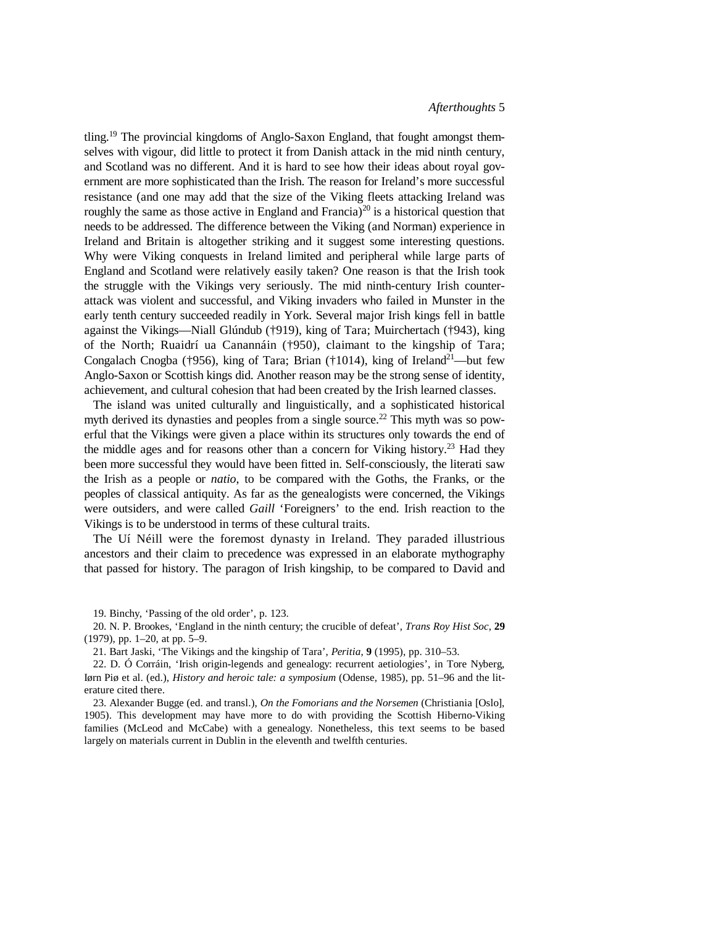tling.<sup>19</sup> The provincial kingdoms of Anglo-Saxon England, that fought amongst themselves with vigour, did little to protect it from Danish attack in the mid ninth century, and Scotland was no different. And it is hard to see how their ideas about royal government are more sophisticated than the Irish. The reason for Ireland's more successful resistance (and one may add that the size of the Viking fleets attacking Ireland was roughly the same as those active in England and Francia)<sup>20</sup> is a historical question that needs to be addressed. The difference between the Viking (and Norman) experience in Ireland and Britain is altogether striking and it suggest some interesting questions. Why were Viking conquests in Ireland limited and peripheral while large parts of England and Scotland were relatively easily taken? One reason is that the Irish took the struggle with the Vikings very seriously. The mid ninth-century Irish counterattack was violent and successful, and Viking invaders who failed in Munster in the early tenth century succeeded readily in York. Several major Irish kings fell in battle against the Vikings—Niall Glúndub (†919), king of Tara; Muirchertach (†943), king of the North; Ruaidrí ua Canannáin (†950), claimant to the kingship of Tara; Congalach Cnogba (†956), king of Tara; Brian (†1014), king of Ireland<sup>21</sup>—but few Anglo-Saxon or Scottish kings did. Another reason may be the strong sense of identity, achievement, and cultural cohesion that had been created by the Irish learned classes.

The island was united culturally and linguistically, and a sophisticated historical myth derived its dynasties and peoples from a single source.<sup>22</sup> This myth was so powerful that the Vikings were given a place within its structures only towards the end of the middle ages and for reasons other than a concern for Viking history.<sup>23</sup> Had they been more successful they would have been fitted in. Self-consciously, the literati saw the Irish as a people or *natio*, to be compared with the Goths, the Franks, or the peoples of classical antiquity. As far as the genealogists were concerned, the Vikings were outsiders, and were called *Gaill* 'Foreigners' to the end. Irish reaction to the Vikings is to be understood in terms of these cultural traits.

The Uí Néill were the foremost dynasty in Ireland. They paraded illustrious ancestors and their claim to precedence was expressed in an elaborate mythography that passed for history. The paragon of Irish kingship, to be compared to David and

19. Binchy, 'Passing of the old order', p. 123.

20. N. P. Brookes, 'England in the ninth century; the crucible of defeat', *Trans Roy Hist Soc*, **29** (1979), pp. 1–20, at pp. 5–9.

21. Bart Jaski, 'The Vikings and the kingship of Tara', *Peritia*, **9** (1995), pp. 310–53.

22. D. Ó Corráin, 'Irish origin-legends and genealogy: recurrent aetiologies', in Tore Nyberg, Iørn Piø et al. (ed.), *History and heroic tale: a symposium* (Odense, 1985), pp. 51–96 and the literature cited there.

23. Alexander Bugge (ed. and transl.), *On the Fomorians and the Norsemen* (Christiania [Oslo], 1905). This development may have more to do with providing the Scottish Hiberno-Viking families (McLeod and McCabe) with a genealogy. Nonetheless, this text seems to be based largely on materials current in Dublin in the eleventh and twelfth centuries.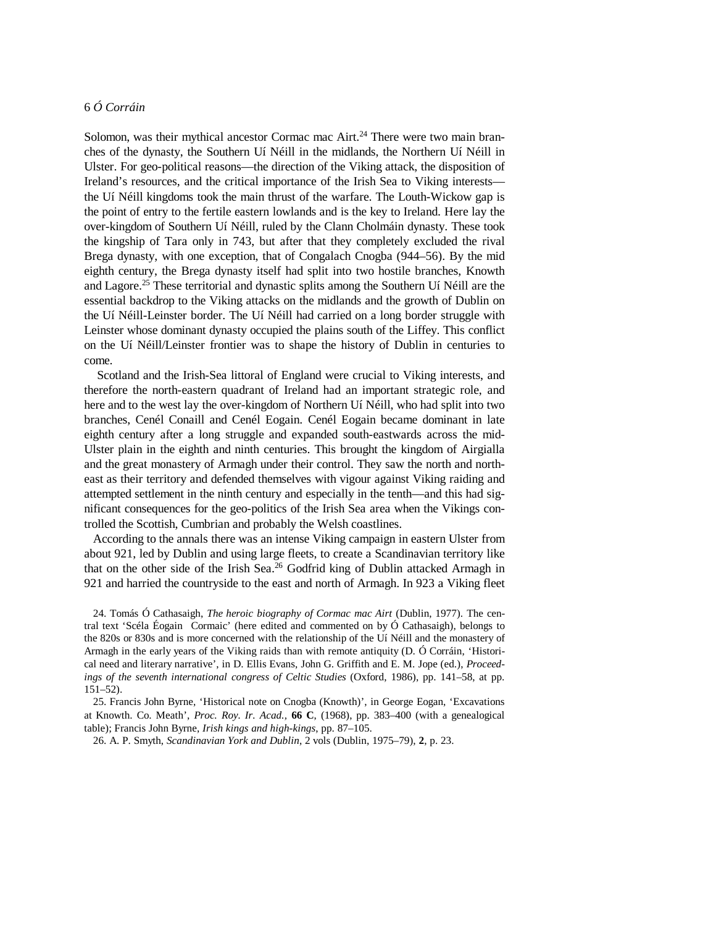Solomon, was their mythical ancestor Cormac mac  $A$ irt.<sup>24</sup> There were two main branches of the dynasty, the Southern Uí Néill in the midlands, the Northern Uí Néill in Ulster. For geo-political reasons—the direction of the Viking attack, the disposition of Ireland's resources, and the critical importance of the Irish Sea to Viking interests the Uí Néill kingdoms took the main thrust of the warfare. The Louth-Wickow gap is the point of entry to the fertile eastern lowlands and is the key to Ireland. Here lay the over-kingdom of Southern Uí Néill, ruled by the Clann Cholmáin dynasty. These took the kingship of Tara only in 743, but after that they completely excluded the rival Brega dynasty, with one exception, that of Congalach Cnogba (944–56). By the mid eighth century, the Brega dynasty itself had split into two hostile branches, Knowth and Lagore.<sup>25</sup> These territorial and dynastic splits among the Southern Uí Néill are the essential backdrop to the Viking attacks on the midlands and the growth of Dublin on the Uí Néill-Leinster border. The Uí Néill had carried on a long border struggle with Leinster whose dominant dynasty occupied the plains south of the Liffey. This conflict on the Uí Néill/Leinster frontier was to shape the history of Dublin in centuries to come.

Scotland and the Irish-Sea littoral of England were crucial to Viking interests, and therefore the north-eastern quadrant of Ireland had an important strategic role, and here and to the west lay the over-kingdom of Northern Uí Néill, who had split into two branches, Cenél Conaill and Cenél Eogain. Cenél Eogain became dominant in late eighth century after a long struggle and expanded south-eastwards across the mid-Ulster plain in the eighth and ninth centuries. This brought the kingdom of Airgialla and the great monastery of Armagh under their control. They saw the north and northeast as their territory and defended themselves with vigour against Viking raiding and attempted settlement in the ninth century and especially in the tenth—and this had significant consequences for the geo-politics of the Irish Sea area when the Vikings controlled the Scottish, Cumbrian and probably the Welsh coastlines.

According to the annals there was an intense Viking campaign in eastern Ulster from about 921, led by Dublin and using large fleets, to create a Scandinavian territory like that on the other side of the Irish Sea.<sup>26</sup> Godfrid king of Dublin attacked Armagh in 921 and harried the countryside to the east and north of Armagh. In 923 a Viking fleet

24. Tomás Ó Cathasaigh, *The heroic biography of Cormac mac Airt* (Dublin, 1977). The central text 'Scéla Éogain Cormaic' (here edited and commented on by Ó Cathasaigh), belongs to the 820s or 830s and is more concerned with the relationship of the Uí Néill and the monastery of Armagh in the early years of the Viking raids than with remote antiquity (D. Ó Corráin, 'Historical need and literary narrative', in D. Ellis Evans, John G. Griffith and E. M. Jope (ed.), *Proceedings of the seventh international congress of Celtic Studies* (Oxford, 1986), pp. 141–58, at pp. 151–52).

25. Francis John Byrne, 'Historical note on Cnogba (Knowth)', in George Eogan, 'Excavations at Knowth. Co. Meath', *Proc. Roy. Ir. Acad.,* **66 C**, (1968), pp. 383–400 (with a genealogical table); Francis John Byrne, *Irish kings and high-kings*, pp. 87–105.

26. A. P. Smyth, *Scandinavian York and Dublin*, 2 vols (Dublin, 1975–79), **2**, p. 23.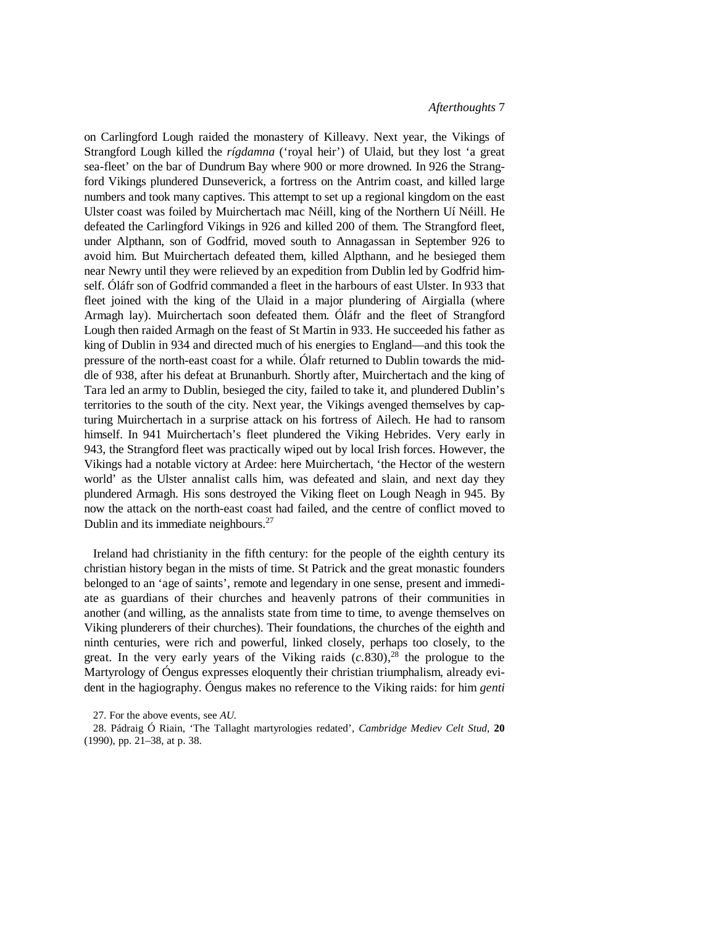on Carlingford Lough raided the monastery of Killeavy. Next year, the Vikings of Strangford Lough killed the *rígdamna* ('royal heir') of Ulaid, but they lost 'a great sea-fleet' on the bar of Dundrum Bay where 900 or more drowned. In 926 the Strangford Vikings plundered Dunseverick, a fortress on the Antrim coast, and killed large numbers and took many captives. This attempt to set up a regional kingdom on the east Ulster coast was foiled by Muirchertach mac Néill, king of the Northern Uí Néill. He defeated the Carlingford Vikings in 926 and killed 200 of them. The Strangford fleet, under Alpthann, son of Godfrid, moved south to Annagassan in September 926 to avoid him. But Muirchertach defeated them, killed Alpthann, and he besieged them near Newry until they were relieved by an expedition from Dublin led by Godfrid himself. Óláfr son of Godfrid commanded a fleet in the harbours of east Ulster. In 933 that fleet joined with the king of the Ulaid in a major plundering of Airgialla (where Armagh lay). Muirchertach soon defeated them. Óláfr and the fleet of Strangford Lough then raided Armagh on the feast of St Martin in 933. He succeeded his father as king of Dublin in 934 and directed much of his energies to England—and this took the pressure of the north-east coast for a while. Ólafr returned to Dublin towards the middle of 938, after his defeat at Brunanburh. Shortly after, Muirchertach and the king of Tara led an army to Dublin, besieged the city, failed to take it, and plundered Dublin's territories to the south of the city. Next year, the Vikings avenged themselves by capturing Muirchertach in a surprise attack on his fortress of Ailech. He had to ransom himself. In 941 Muirchertach's fleet plundered the Viking Hebrides. Very early in 943, the Strangford fleet was practically wiped out by local Irish forces. However, the Vikings had a notable victory at Ardee: here Muirchertach, 'the Hector of the western world' as the Ulster annalist calls him, was defeated and slain, and next day they plundered Armagh. His sons destroyed the Viking fleet on Lough Neagh in 945. By now the attack on the north-east coast had failed, and the centre of conflict moved to Dublin and its immediate neighbours.<sup>27</sup>

Ireland had christianity in the fifth century: for the people of the eighth century its christian history began in the mists of time. St Patrick and the great monastic founders belonged to an 'age of saints', remote and legendary in one sense, present and immediate as guardians of their churches and heavenly patrons of their communities in another (and willing, as the annalists state from time to time, to avenge themselves on Viking plunderers of their churches). Their foundations, the churches of the eighth and ninth centuries, were rich and powerful, linked closely, perhaps too closely, to the great. In the very early years of the Viking raids  $(c.830)$ ,<sup>28</sup> the prologue to the Martyrology of Óengus expresses eloquently their christian triumphalism, already evident in the hagiography. Óengus makes no reference to the Viking raids: for him *genti*

<sup>27.</sup> For the above events, see *AU.*

<sup>28.</sup> Pádraig Ó Riain, 'The Tallaght martyrologies redated', *Cambridge Mediev Celt Stud*, **20** (1990), pp. 21–38, at p. 38.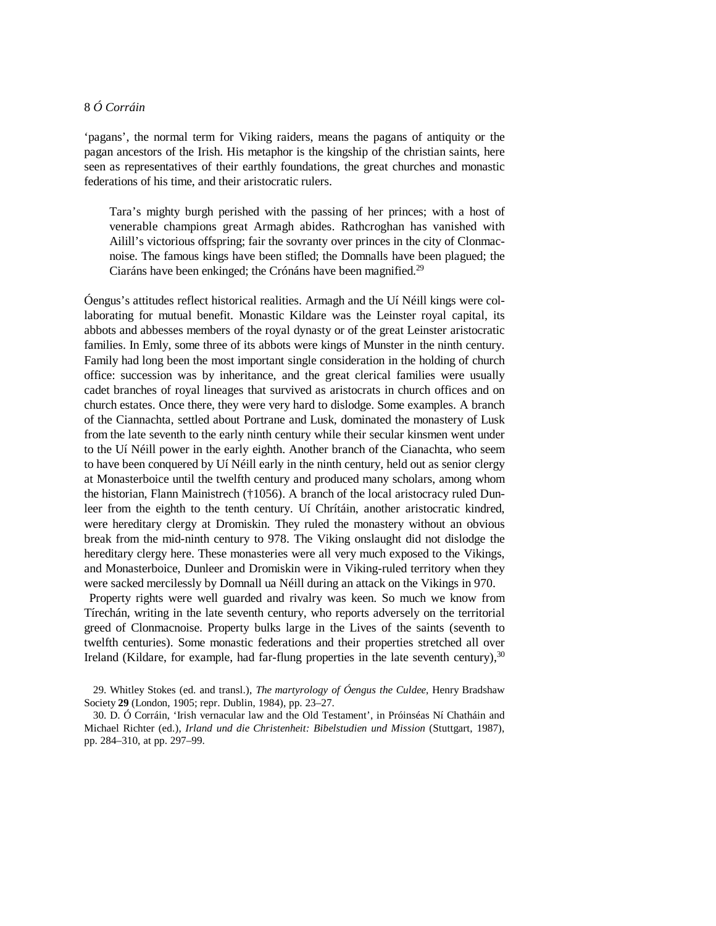'pagans', the normal term for Viking raiders, means the pagans of antiquity or the pagan ancestors of the Irish. His metaphor is the kingship of the christian saints, here seen as representatives of their earthly foundations, the great churches and monastic federations of his time, and their aristocratic rulers.

Tara's mighty burgh perished with the passing of her princes; with a host of venerable champions great Armagh abides. Rathcroghan has vanished with Ailill's victorious offspring; fair the sovranty over princes in the city of Clonmacnoise. The famous kings have been stifled; the Domnalls have been plagued; the Ciaráns have been enkinged; the Crónáns have been magnified.<sup>29</sup>

Óengus's attitudes reflect historical realities. Armagh and the Uí Néill kings were collaborating for mutual benefit. Monastic Kildare was the Leinster royal capital, its abbots and abbesses members of the royal dynasty or of the great Leinster aristocratic families. In Emly, some three of its abbots were kings of Munster in the ninth century. Family had long been the most important single consideration in the holding of church office: succession was by inheritance, and the great clerical families were usually cadet branches of royal lineages that survived as aristocrats in church offices and on church estates. Once there, they were very hard to dislodge. Some examples. A branch of the Ciannachta, settled about Portrane and Lusk, dominated the monastery of Lusk from the late seventh to the early ninth century while their secular kinsmen went under to the Uí Néill power in the early eighth. Another branch of the Cianachta, who seem to have been conquered by Uí Néill early in the ninth century, held out as senior clergy at Monasterboice until the twelfth century and produced many scholars, among whom the historian, Flann Mainistrech (†1056). A branch of the local aristocracy ruled Dunleer from the eighth to the tenth century. Uí Chrítáin, another aristocratic kindred, were hereditary clergy at Dromiskin. They ruled the monastery without an obvious break from the mid-ninth century to 978. The Viking onslaught did not dislodge the hereditary clergy here. These monasteries were all very much exposed to the Vikings, and Monasterboice, Dunleer and Dromiskin were in Viking-ruled territory when they were sacked mercilessly by Domnall ua Néill during an attack on the Vikings in 970.

Property rights were well guarded and rivalry was keen. So much we know from Tírechán, writing in the late seventh century, who reports adversely on the territorial greed of Clonmacnoise. Property bulks large in the Lives of the saints (seventh to twelfth centuries). Some monastic federations and their properties stretched all over Ireland (Kildare, for example, had far-flung properties in the late seventh century), $30$ 

<sup>29.</sup> Whitley Stokes (ed. and transl.), *The martyrology of Óengus the Culdee*, Henry Bradshaw Society **29** (London, 1905; repr. Dublin, 1984), pp. 23–27.

<sup>30.</sup> D. Ó Corráin, 'Irish vernacular law and the Old Testament', in Próinséas Ní Chatháin and Michael Richter (ed.), *Irland und die Christenheit: Bibelstudien und Mission* (Stuttgart, 1987), pp. 284–310, at pp. 297–99.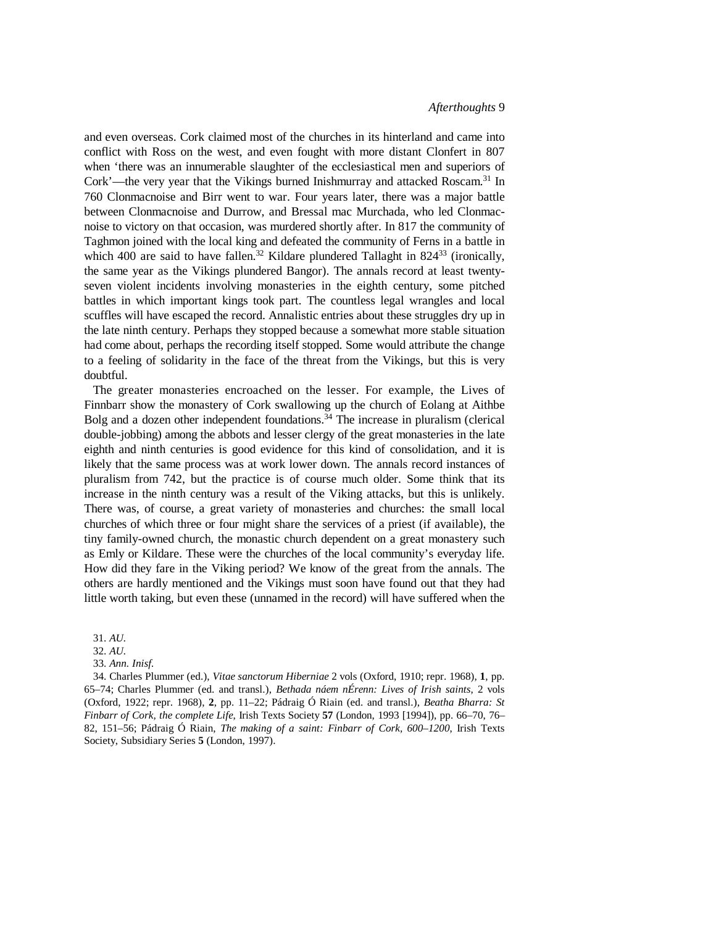and even overseas. Cork claimed most of the churches in its hinterland and came into conflict with Ross on the west, and even fought with more distant Clonfert in 807 when 'there was an innumerable slaughter of the ecclesiastical men and superiors of Cork'—the very year that the Vikings burned Inishmurray and attacked Roscam.<sup>31</sup> In 760 Clonmacnoise and Birr went to war. Four years later, there was a major battle between Clonmacnoise and Durrow, and Bressal mac Murchada, who led Clonmacnoise to victory on that occasion, was murdered shortly after. In 817 the community of Taghmon joined with the local king and defeated the community of Ferns in a battle in which 400 are said to have fallen.<sup>32</sup> Kildare plundered Tallaght in  $824^{33}$  (ironically, the same year as the Vikings plundered Bangor). The annals record at least twentyseven violent incidents involving monasteries in the eighth century, some pitched battles in which important kings took part. The countless legal wrangles and local scuffles will have escaped the record. Annalistic entries about these struggles dry up in the late ninth century. Perhaps they stopped because a somewhat more stable situation had come about, perhaps the recording itself stopped. Some would attribute the change to a feeling of solidarity in the face of the threat from the Vikings, but this is very doubtful.

The greater monasteries encroached on the lesser. For example, the Lives of Finnbarr show the monastery of Cork swallowing up the church of Eolang at Aithbe Bolg and a dozen other independent foundations. $34$  The increase in pluralism (clerical double-jobbing) among the abbots and lesser clergy of the great monasteries in the late eighth and ninth centuries is good evidence for this kind of consolidation, and it is likely that the same process was at work lower down. The annals record instances of pluralism from 742, but the practice is of course much older. Some think that its increase in the ninth century was a result of the Viking attacks, but this is unlikely. There was, of course, a great variety of monasteries and churches: the small local churches of which three or four might share the services of a priest (if available), the tiny family-owned church, the monastic church dependent on a great monastery such as Emly or Kildare. These were the churches of the local community's everyday life. How did they fare in the Viking period? We know of the great from the annals. The others are hardly mentioned and the Vikings must soon have found out that they had little worth taking, but even these (unnamed in the record) will have suffered when the

34. Charles Plummer (ed.), *Vitae sanctorum Hiberniae* 2 vols (Oxford, 1910; repr. 1968), **1**, pp. 65–74; Charles Plummer (ed. and transl.), *Bethada náem nÉrenn: Lives of Irish saints*, 2 vols (Oxford, 1922; repr. 1968), **2**, pp. 11–22; Pádraig Ó Riain (ed. and transl.), *Beatha Bharra: St Finbarr of Cork, the complete Life*, Irish Texts Society **57** (London, 1993 [1994]), pp. 66–70, 76– 82, 151–56; Pádraig Ó Riain, *The making of a saint: Finbarr of Cork, 600*–*1200*, Irish Texts Society, Subsidiary Series **5** (London, 1997).

<sup>31.</sup> *AU.*

<sup>32.</sup> *AU.*

<sup>33.</sup> *Ann. Inisf.*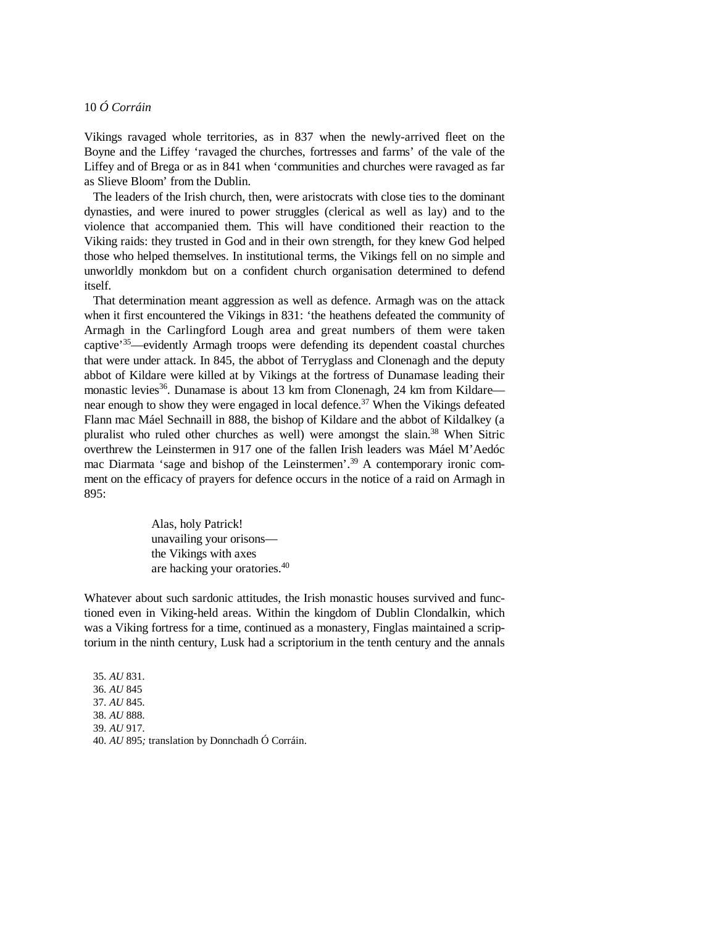Vikings ravaged whole territories, as in 837 when the newly-arrived fleet on the Boyne and the Liffey 'ravaged the churches, fortresses and farms' of the vale of the Liffey and of Brega or as in 841 when 'communities and churches were ravaged as far as Slieve Bloom' from the Dublin.

The leaders of the Irish church, then, were aristocrats with close ties to the dominant dynasties, and were inured to power struggles (clerical as well as lay) and to the violence that accompanied them. This will have conditioned their reaction to the Viking raids: they trusted in God and in their own strength, for they knew God helped those who helped themselves. In institutional terms, the Vikings fell on no simple and unworldly monkdom but on a confident church organisation determined to defend itself.

That determination meant aggression as well as defence. Armagh was on the attack when it first encountered the Vikings in 831: 'the heathens defeated the community of Armagh in the Carlingford Lough area and great numbers of them were taken captive'<sup>35</sup>—evidently Armagh troops were defending its dependent coastal churches that were under attack. In 845, the abbot of Terryglass and Clonenagh and the deputy abbot of Kildare were killed at by Vikings at the fortress of Dunamase leading their monastic levies<sup>36</sup>. Dunamase is about 13 km from Clonenagh, 24 km from Kildare near enough to show they were engaged in local defence.<sup>37</sup> When the Vikings defeated Flann mac Máel Sechnaill in 888, the bishop of Kildare and the abbot of Kildalkey (a pluralist who ruled other churches as well) were amongst the slain.<sup>38</sup> When Sitric overthrew the Leinstermen in 917 one of the fallen Irish leaders was Máel M'Aedóc mac Diarmata 'sage and bishop of the Leinstermen'.<sup>39</sup> A contemporary ironic comment on the efficacy of prayers for defence occurs in the notice of a raid on Armagh in 895:

> Alas, holy Patrick! unavailing your orisons the Vikings with axes are hacking your oratories.<sup>40</sup>

Whatever about such sardonic attitudes, the Irish monastic houses survived and functioned even in Viking-held areas. Within the kingdom of Dublin Clondalkin, which was a Viking fortress for a time, continued as a monastery, Finglas maintained a scriptorium in the ninth century, Lusk had a scriptorium in the tenth century and the annals

35. *AU* 831. 36. *AU* 845 37. *AU* 845. 38. *AU* 888. 39. *AU* 917. 40. *AU* 895*;* translation by Donnchadh Ó Corráin.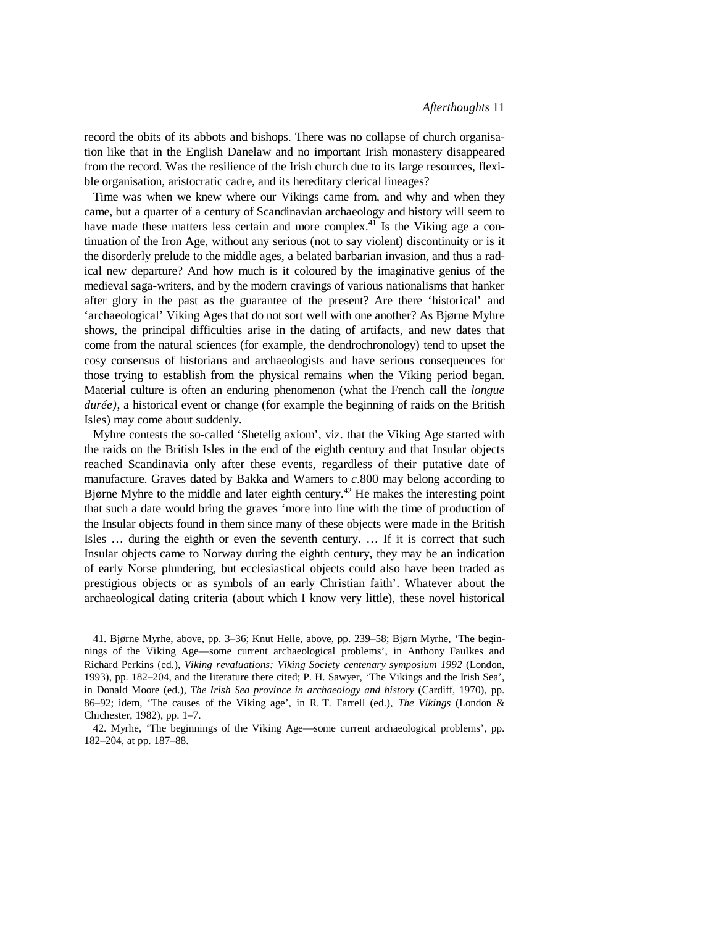record the obits of its abbots and bishops. There was no collapse of church organisation like that in the English Danelaw and no important Irish monastery disappeared from the record. Was the resilience of the Irish church due to its large resources, flexible organisation, aristocratic cadre, and its hereditary clerical lineages?

Time was when we knew where our Vikings came from, and why and when they came, but a quarter of a century of Scandinavian archaeology and history will seem to have made these matters less certain and more complex.<sup>41</sup> Is the Viking age a continuation of the Iron Age, without any serious (not to say violent) discontinuity or is it the disorderly prelude to the middle ages, a belated barbarian invasion, and thus a radical new departure? And how much is it coloured by the imaginative genius of the medieval saga-writers, and by the modern cravings of various nationalisms that hanker after glory in the past as the guarantee of the present? Are there 'historical' and 'archaeological' Viking Ages that do not sort well with one another? As Bjørne Myhre shows, the principal difficulties arise in the dating of artifacts, and new dates that come from the natural sciences (for example, the dendrochronology) tend to upset the cosy consensus of historians and archaeologists and have serious consequences for those trying to establish from the physical remains when the Viking period began. Material culture is often an enduring phenomenon (what the French call the *longue durée)*, a historical event or change (for example the beginning of raids on the British Isles) may come about suddenly.

Myhre contests the so-called 'Shetelig axiom', viz. that the Viking Age started with the raids on the British Isles in the end of the eighth century and that Insular objects reached Scandinavia only after these events, regardless of their putative date of manufacture. Graves dated by Bakka and Wamers to *c*.800 may belong according to Bjørne Myhre to the middle and later eighth century.<sup>42</sup> He makes the interesting point that such a date would bring the graves 'more into line with the time of production of the Insular objects found in them since many of these objects were made in the British Isles … during the eighth or even the seventh century. … If it is correct that such Insular objects came to Norway during the eighth century, they may be an indication of early Norse plundering, but ecclesiastical objects could also have been traded as prestigious objects or as symbols of an early Christian faith'. Whatever about the archaeological dating criteria (about which I know very little), these novel historical

41. Bjørne Myrhe, above, pp. 3–36; Knut Helle, above, pp. 239–58; Bjørn Myrhe, 'The beginnings of the Viking Age—some current archaeological problems', in Anthony Faulkes and Richard Perkins (ed.), *Viking revaluations: Viking Society centenary symposium 1992* (London, 1993), pp. 182–204, and the literature there cited; P. H. Sawyer, 'The Vikings and the Irish Sea', in Donald Moore (ed.), *The Irish Sea province in archaeology and history* (Cardiff, 1970), pp. 86–92; idem, 'The causes of the Viking age', in R. T. Farrell (ed.), *The Vikings* (London & Chichester, 1982), pp. 1–7.

42. Myrhe, 'The beginnings of the Viking Age—some current archaeological problems', pp. 182–204, at pp. 187–88.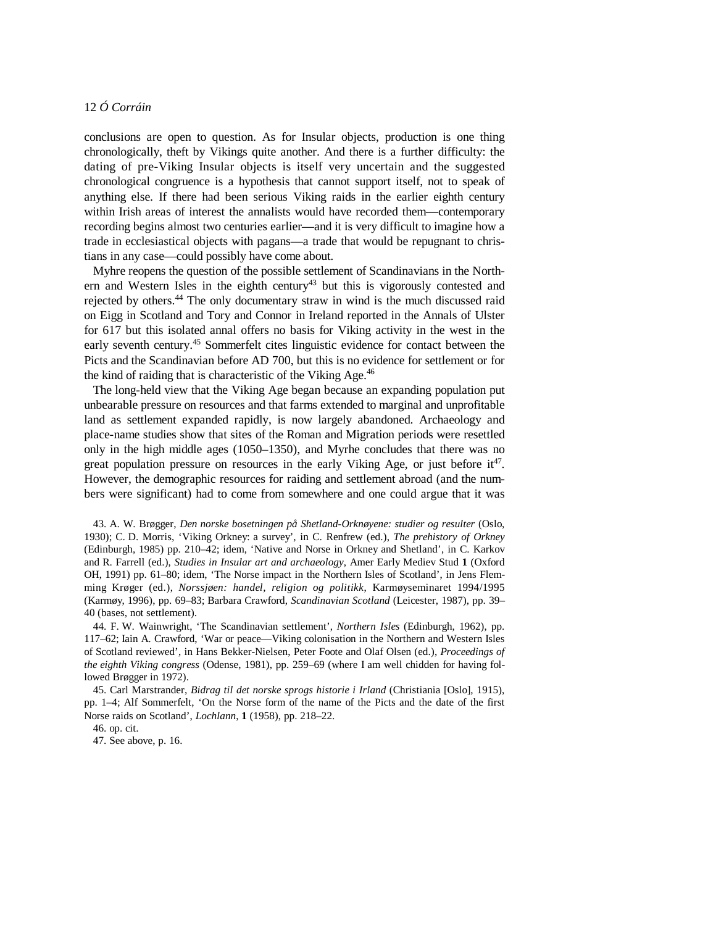conclusions are open to question. As for Insular objects, production is one thing chronologically, theft by Vikings quite another. And there is a further difficulty: the dating of pre-Viking Insular objects is itself very uncertain and the suggested chronological congruence is a hypothesis that cannot support itself, not to speak of anything else. If there had been serious Viking raids in the earlier eighth century within Irish areas of interest the annalists would have recorded them—contemporary recording begins almost two centuries earlier—and it is very difficult to imagine how a trade in ecclesiastical objects with pagans—a trade that would be repugnant to christians in any case—could possibly have come about.

Myhre reopens the question of the possible settlement of Scandinavians in the Northern and Western Isles in the eighth century<sup>43</sup> but this is vigorously contested and rejected by others.<sup>44</sup> The only documentary straw in wind is the much discussed raid on Eigg in Scotland and Tory and Connor in Ireland reported in the Annals of Ulster for 617 but this isolated annal offers no basis for Viking activity in the west in the early seventh century.<sup>45</sup> Sommerfelt cites linguistic evidence for contact between the Picts and the Scandinavian before AD 700, but this is no evidence for settlement or for the kind of raiding that is characteristic of the Viking Age.<sup>46</sup>

The long-held view that the Viking Age began because an expanding population put unbearable pressure on resources and that farms extended to marginal and unprofitable land as settlement expanded rapidly, is now largely abandoned. Archaeology and place-name studies show that sites of the Roman and Migration periods were resettled only in the high middle ages (1050–1350), and Myrhe concludes that there was no great population pressure on resources in the early Viking Age, or just before  $it^{47}$ . However, the demographic resources for raiding and settlement abroad (and the numbers were significant) had to come from somewhere and one could argue that it was

43. A. W. Brøgger, *Den norske bosetningen på Shetland-Orknøyene: studier og resulter* (Oslo, 1930); C. D. Morris, 'Viking Orkney: a survey', in C. Renfrew (ed.), *The prehistory of Orkney* (Edinburgh, 1985) pp. 210–42; idem, 'Native and Norse in Orkney and Shetland', in C. Karkov and R. Farrell (ed.), *Studies in Insular art and archaeology*, Amer Early Mediev Stud **1** (Oxford OH, 1991) pp. 61–80; idem, 'The Norse impact in the Northern Isles of Scotland', in Jens Flemming Krøger (ed.), *Norssjøen: handel, religion og politikk*, Karmøyseminaret 1994/1995 (Karmøy, 1996), pp. 69–83; Barbara Crawford, *Scandinavian Scotland* (Leicester, 1987), pp. 39– 40 (bases, not settlement).

44. F. W. Wainwright, 'The Scandinavian settlement', *Northern Isles* (Edinburgh, 1962), pp. 117–62; Iain A. Crawford, 'War or peace—Viking colonisation in the Northern and Western Isles of Scotland reviewed', in Hans Bekker-Nielsen, Peter Foote and Olaf Olsen (ed.), *Proceedings of the eighth Viking congress* (Odense, 1981), pp. 259–69 (where I am well chidden for having followed Brøgger in 1972).

45. Carl Marstrander, *Bidrag til det norske sprogs historie i Irland* (Christiania [Oslo], 1915), pp. 1–4; Alf Sommerfelt, 'On the Norse form of the name of the Picts and the date of the first Norse raids on Scotland', *Lochlann*, **1** (1958), pp. 218–22.

46. op. cit.

47. See above, p. 16.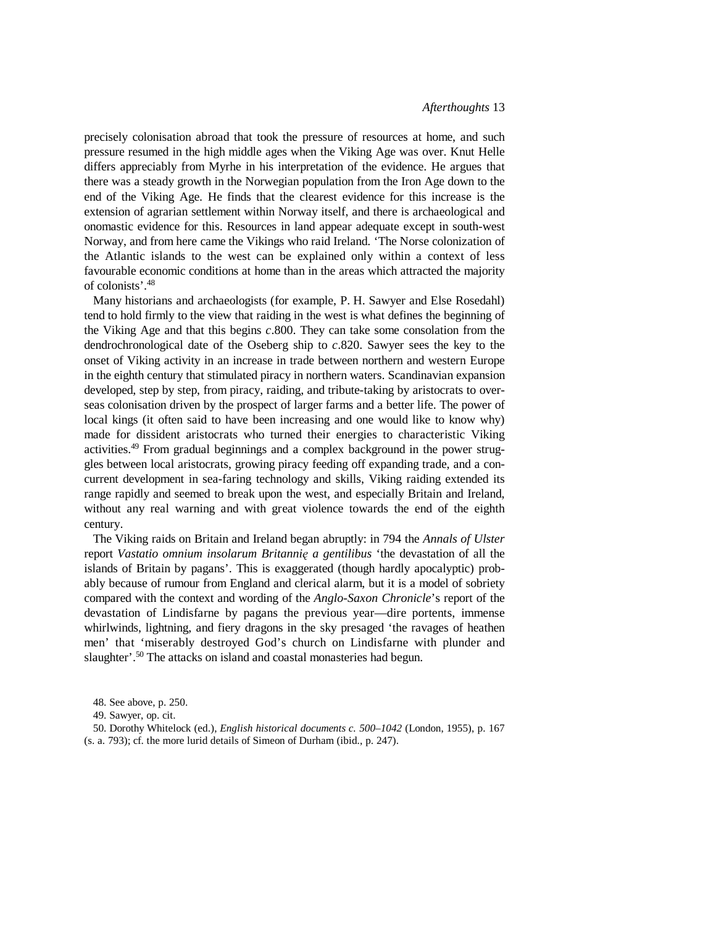precisely colonisation abroad that took the pressure of resources at home, and such pressure resumed in the high middle ages when the Viking Age was over. Knut Helle differs appreciably from Myrhe in his interpretation of the evidence. He argues that there was a steady growth in the Norwegian population from the Iron Age down to the end of the Viking Age. He finds that the clearest evidence for this increase is the extension of agrarian settlement within Norway itself, and there is archaeological and onomastic evidence for this. Resources in land appear adequate except in south-west Norway, and from here came the Vikings who raid Ireland. 'The Norse colonization of the Atlantic islands to the west can be explained only within a context of less favourable economic conditions at home than in the areas which attracted the majority of colonists'.<sup>48</sup>

Many historians and archaeologists (for example, P. H. Sawyer and Else Rosedahl) tend to hold firmly to the view that raiding in the west is what defines the beginning of the Viking Age and that this begins *c*.800. They can take some consolation from the dendrochronological date of the Oseberg ship to *c*.820. Sawyer sees the key to the onset of Viking activity in an increase in trade between northern and western Europe in the eighth century that stimulated piracy in northern waters. Scandinavian expansion developed, step by step, from piracy, raiding, and tribute-taking by aristocrats to overseas colonisation driven by the prospect of larger farms and a better life. The power of local kings (it often said to have been increasing and one would like to know why) made for dissident aristocrats who turned their energies to characteristic Viking activities.<sup>49</sup> From gradual beginnings and a complex background in the power struggles between local aristocrats, growing piracy feeding off expanding trade, and a concurrent development in sea-faring technology and skills, Viking raiding extended its range rapidly and seemed to break upon the west, and especially Britain and Ireland, without any real warning and with great violence towards the end of the eighth century.

The Viking raids on Britain and Ireland began abruptly: in 794 the *Annals of Ulster* report *Vastatio omnium insolarum Britannię a gentilibus* 'the devastation of all the islands of Britain by pagans'. This is exaggerated (though hardly apocalyptic) probably because of rumour from England and clerical alarm, but it is a model of sobriety compared with the context and wording of the *Anglo-Saxon Chronicle*'s report of the devastation of Lindisfarne by pagans the previous year—dire portents, immense whirlwinds, lightning, and fiery dragons in the sky presaged 'the ravages of heathen men' that 'miserably destroyed God's church on Lindisfarne with plunder and slaughter'.<sup>50</sup> The attacks on island and coastal monasteries had begun.

<sup>48.</sup> See above, p. 250.

<sup>49.</sup> Sawyer, op. cit.

<sup>50.</sup> Dorothy Whitelock (ed.), *English historical documents c. 500*–*1042* (London, 1955), p. 167 (s. a. 793); cf. the more lurid details of Simeon of Durham (ibid., p. 247).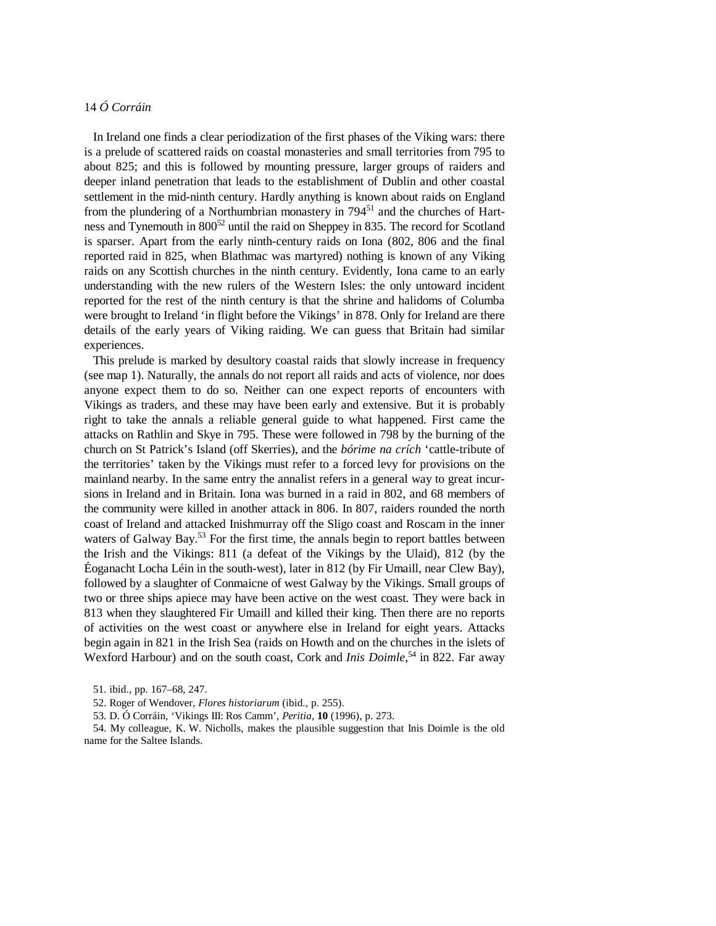In Ireland one finds a clear periodization of the first phases of the Viking wars: there is a prelude of scattered raids on coastal monasteries and small territories from 795 to about 825; and this is followed by mounting pressure, larger groups of raiders and deeper inland penetration that leads to the establishment of Dublin and other coastal settlement in the mid-ninth century. Hardly anything is known about raids on England from the plundering of a Northumbrian monastery in  $794<sup>51</sup>$  and the churches of Hartness and Tynemouth in 800<sup>52</sup> until the raid on Sheppey in 835. The record for Scotland is sparser. Apart from the early ninth-century raids on Iona (802, 806 and the final reported raid in 825, when Blathmac was martyred) nothing is known of any Viking raids on any Scottish churches in the ninth century. Evidently, Iona came to an early understanding with the new rulers of the Western Isles: the only untoward incident reported for the rest of the ninth century is that the shrine and halidoms of Columba were brought to Ireland 'in flight before the Vikings' in 878. Only for Ireland are there details of the early years of Viking raiding. We can guess that Britain had similar experiences.

This prelude is marked by desultory coastal raids that slowly increase in frequency (see map 1). Naturally, the annals do not report all raids and acts of violence, nor does anyone expect them to do so. Neither can one expect reports of encounters with Vikings as traders, and these may have been early and extensive. But it is probably right to take the annals a reliable general guide to what happened. First came the attacks on Rathlin and Skye in 795. These were followed in 798 by the burning of the church on St Patrick's Island (off Skerries), and the *bórime na crích* 'cattle-tribute of the territories' taken by the Vikings must refer to a forced levy for provisions on the mainland nearby. In the same entry the annalist refers in a general way to great incursions in Ireland and in Britain. Iona was burned in a raid in 802, and 68 members of the community were killed in another attack in 806. In 807, raiders rounded the north coast of Ireland and attacked Inishmurray off the Sligo coast and Roscam in the inner waters of Galway Bay.<sup>53</sup> For the first time, the annals begin to report battles between the Irish and the Vikings: 811 (a defeat of the Vikings by the Ulaid), 812 (by the Éoganacht Locha Léin in the south-west), later in 812 (by Fir Umaill, near Clew Bay), followed by a slaughter of Conmaicne of west Galway by the Vikings. Small groups of two or three ships apiece may have been active on the west coast. They were back in 813 when they slaughtered Fir Umaill and killed their king. Then there are no reports of activities on the west coast or anywhere else in Ireland for eight years. Attacks begin again in 821 in the Irish Sea (raids on Howth and on the churches in the islets of Wexford Harbour) and on the south coast, Cork and *Inis Doimle*, <sup>54</sup> in 822. Far away

53. D. Ó Corráin, 'Vikings III: Ros Camm', *Peritia*, **10** (1996), p. 273.

54. My colleague, K. W. Nicholls, makes the plausible suggestion that Inis Doimle is the old name for the Saltee Islands.

<sup>51.</sup> ibid., pp. 167–68, 247.

<sup>52.</sup> Roger of Wendover, *Flores historiarum* (ibid., p. 255).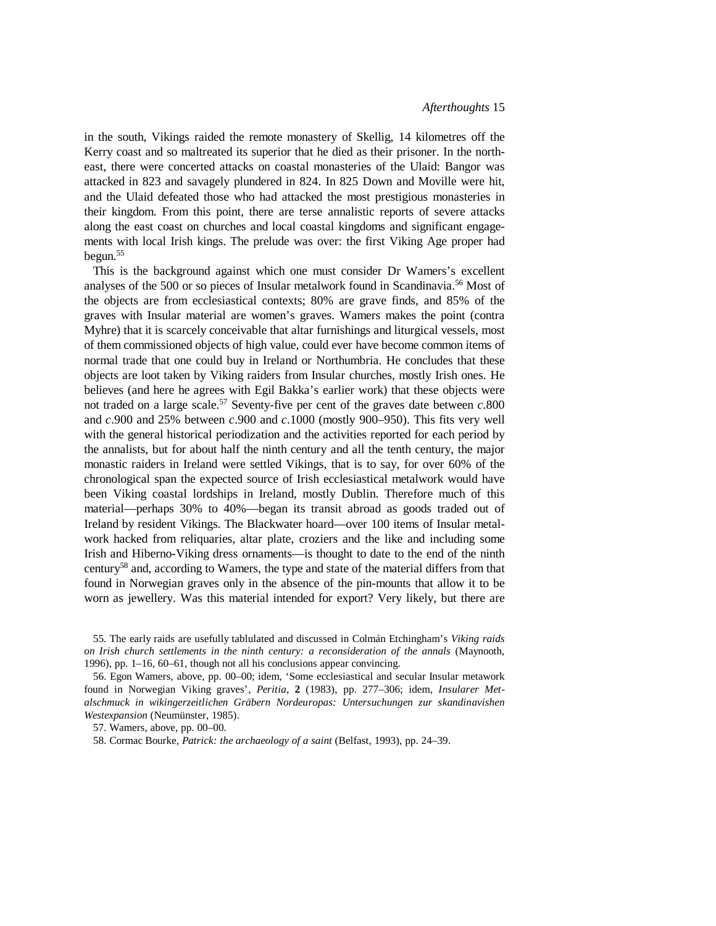in the south, Vikings raided the remote monastery of Skellig, 14 kilometres off the Kerry coast and so maltreated its superior that he died as their prisoner. In the northeast, there were concerted attacks on coastal monasteries of the Ulaid: Bangor was attacked in 823 and savagely plundered in 824. In 825 Down and Moville were hit, and the Ulaid defeated those who had attacked the most prestigious monasteries in their kingdom. From this point, there are terse annalistic reports of severe attacks along the east coast on churches and local coastal kingdoms and significant engagements with local Irish kings. The prelude was over: the first Viking Age proper had begun. $55$ 

This is the background against which one must consider Dr Wamers's excellent analyses of the 500 or so pieces of Insular metalwork found in Scandinavia.<sup>56</sup> Most of the objects are from ecclesiastical contexts; 80% are grave finds, and 85% of the graves with Insular material are women's graves. Wamers makes the point (contra Myhre) that it is scarcely conceivable that altar furnishings and liturgical vessels, most of them commissioned objects of high value, could ever have become common items of normal trade that one could buy in Ireland or Northumbria. He concludes that these objects are loot taken by Viking raiders from Insular churches, mostly Irish ones. He believes (and here he agrees with Egil Bakka's earlier work) that these objects were not traded on a large scale.<sup>57</sup> Seventy-five per cent of the graves date between  $c.800$ and *c*.900 and 25% between *c*.900 and *c*.1000 (mostly 900–950). This fits very well with the general historical periodization and the activities reported for each period by the annalists, but for about half the ninth century and all the tenth century, the major monastic raiders in Ireland were settled Vikings, that is to say, for over 60% of the chronological span the expected source of Irish ecclesiastical metalwork would have been Viking coastal lordships in Ireland, mostly Dublin. Therefore much of this material—perhaps 30% to 40%—began its transit abroad as goods traded out of Ireland by resident Vikings. The Blackwater hoard—over 100 items of Insular metalwork hacked from reliquaries, altar plate, croziers and the like and including some Irish and Hiberno-Viking dress ornaments—is thought to date to the end of the ninth century<sup>58</sup> and, according to Wamers, the type and state of the material differs from that found in Norwegian graves only in the absence of the pin-mounts that allow it to be worn as jewellery. Was this material intended for export? Very likely, but there are

55. The early raids are usefully tablulated and discussed in Colmán Etchingham's *Viking raids on Irish church settlements in the ninth century: a reconsideration of the annals* (Maynooth, 1996), pp. 1–16, 60–61, though not all his conclusions appear convincing.

56. Egon Wamers, above, pp. 00–00; idem, 'Some ecclesiastical and secular Insular metawork found in Norwegian Viking graves', *Peritia*, **2** (1983), pp. 277–306; idem, *Insularer Metalschmuck in wikingerzeitlichen Gräbern Nordeuropas: Untersuchungen zur skandinavishen Westexpansion* (Neumünster, 1985).

57. Wamers, above, pp. 00–00.

58. Cormac Bourke, *Patrick: the archaeology of a saint* (Belfast, 1993), pp. 24–39.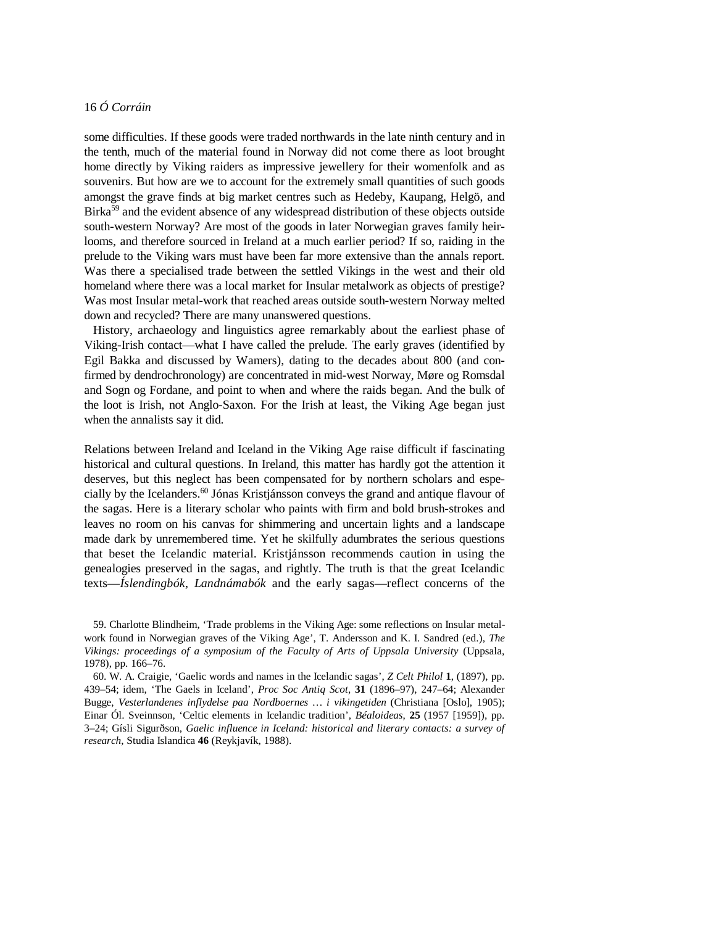some difficulties. If these goods were traded northwards in the late ninth century and in the tenth, much of the material found in Norway did not come there as loot brought home directly by Viking raiders as impressive jewellery for their womenfolk and as souvenirs. But how are we to account for the extremely small quantities of such goods amongst the grave finds at big market centres such as Hedeby, Kaupang, Helgö, and Birka<sup>59</sup> and the evident absence of any widespread distribution of these objects outside south-western Norway? Are most of the goods in later Norwegian graves family heirlooms, and therefore sourced in Ireland at a much earlier period? If so, raiding in the prelude to the Viking wars must have been far more extensive than the annals report. Was there a specialised trade between the settled Vikings in the west and their old homeland where there was a local market for Insular metalwork as objects of prestige? Was most Insular metal-work that reached areas outside south-western Norway melted down and recycled? There are many unanswered questions.

History, archaeology and linguistics agree remarkably about the earliest phase of Viking-Irish contact—what I have called the prelude. The early graves (identified by Egil Bakka and discussed by Wamers), dating to the decades about 800 (and confirmed by dendrochronology) are concentrated in mid-west Norway, Møre og Romsdal and Sogn og Fordane, and point to when and where the raids began. And the bulk of the loot is Irish, not Anglo-Saxon. For the Irish at least, the Viking Age began just when the annalists say it did.

Relations between Ireland and Iceland in the Viking Age raise difficult if fascinating historical and cultural questions. In Ireland, this matter has hardly got the attention it deserves, but this neglect has been compensated for by northern scholars and especially by the Icelanders.<sup>60</sup> Jónas Kristjánsson conveys the grand and antique flavour of the sagas. Here is a literary scholar who paints with firm and bold brush-strokes and leaves no room on his canvas for shimmering and uncertain lights and a landscape made dark by unremembered time. Yet he skilfully adumbrates the serious questions that beset the Icelandic material. Kristjánsson recommends caution in using the genealogies preserved in the sagas, and rightly. The truth is that the great Icelandic texts—*Íslendingbók*, *Landnámabók* and the early sagas—reflect concerns of the

59. Charlotte Blindheim, 'Trade problems in the Viking Age: some reflections on Insular metalwork found in Norwegian graves of the Viking Age', T. Andersson and K. I. Sandred (ed.), *The Vikings: proceedings of a symposium of the Faculty of Arts of Uppsala University* (Uppsala, 1978), pp. 166–76.

60. W. A. Craigie, 'Gaelic words and names in the Icelandic sagas', *Z Celt Philol* **1**, (1897), pp. 439–54; idem, 'The Gaels in Iceland', *Proc Soc Antiq Scot*, **31** (1896–97), 247–64; Alexander Bugge, *Vesterlandenes inflydelse paa Nordboernes … i vikingetiden* (Christiana [Oslo], 1905); Einar Ól. Sveinnson, 'Celtic elements in Icelandic tradition', *Béaloideas*, **25** (1957 [1959]), pp. 3–24; Gísli Sigurðson, *Gaelic influence in Iceland: historical and literary contacts: a survey of research*, Studia Islandica **46** (Reykjavík, 1988).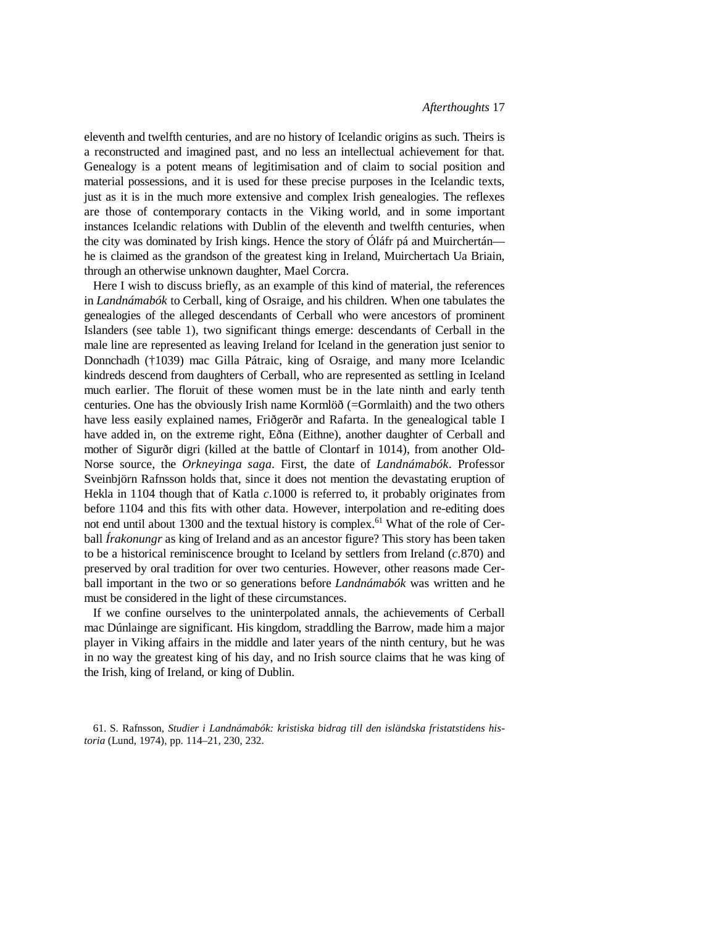eleventh and twelfth centuries, and are no history of Icelandic origins as such. Theirs is a reconstructed and imagined past, and no less an intellectual achievement for that. Genealogy is a potent means of legitimisation and of claim to social position and material possessions, and it is used for these precise purposes in the Icelandic texts, just as it is in the much more extensive and complex Irish genealogies. The reflexes are those of contemporary contacts in the Viking world, and in some important instances Icelandic relations with Dublin of the eleventh and twelfth centuries, when the city was dominated by Irish kings. Hence the story of Óláfr pá and Muirchertán he is claimed as the grandson of the greatest king in Ireland, Muirchertach Ua Briain, through an otherwise unknown daughter, Mael Corcra.

Here I wish to discuss briefly, as an example of this kind of material, the references in *Landnámabók* to Cerball, king of Osraige, and his children. When one tabulates the genealogies of the alleged descendants of Cerball who were ancestors of prominent Islanders (see table 1), two significant things emerge: descendants of Cerball in the male line are represented as leaving Ireland for Iceland in the generation just senior to Donnchadh (†1039) mac Gilla Pátraic, king of Osraige, and many more Icelandic kindreds descend from daughters of Cerball, who are represented as settling in Iceland much earlier. The floruit of these women must be in the late ninth and early tenth centuries. One has the obviously Irish name Kormlöð (=Gormlaith) and the two others have less easily explained names, Friðgerðr and Rafarta. In the genealogical table I have added in, on the extreme right, Eðna (Eithne), another daughter of Cerball and mother of Sigurðr digri (killed at the battle of Clontarf in 1014), from another Old-Norse source, the *Orkneyinga saga*. First, the date of *Landnámabók*. Professor Sveinbjörn Rafnsson holds that, since it does not mention the devastating eruption of Hekla in 1104 though that of Katla *c*.1000 is referred to, it probably originates from before 1104 and this fits with other data. However, interpolation and re-editing does not end until about 1300 and the textual history is complex.<sup>61</sup> What of the role of Cerball *Írakonungr* as king of Ireland and as an ancestor figure? This story has been taken to be a historical reminiscence brought to Iceland by settlers from Ireland (*c.*870) and preserved by oral tradition for over two centuries. However, other reasons made Cerball important in the two or so generations before *Landnámabók* was written and he must be considered in the light of these circumstances.

If we confine ourselves to the uninterpolated annals, the achievements of Cerball mac Dúnlainge are significant. His kingdom, straddling the Barrow, made him a major player in Viking affairs in the middle and later years of the ninth century, but he was in no way the greatest king of his day, and no Irish source claims that he was king of the Irish, king of Ireland, or king of Dublin.

61. S. Rafnsson, *Studier i Landnámabók: kristiska bidrag till den isländska fristatstidens historia* (Lund, 1974), pp. 114–21, 230, 232.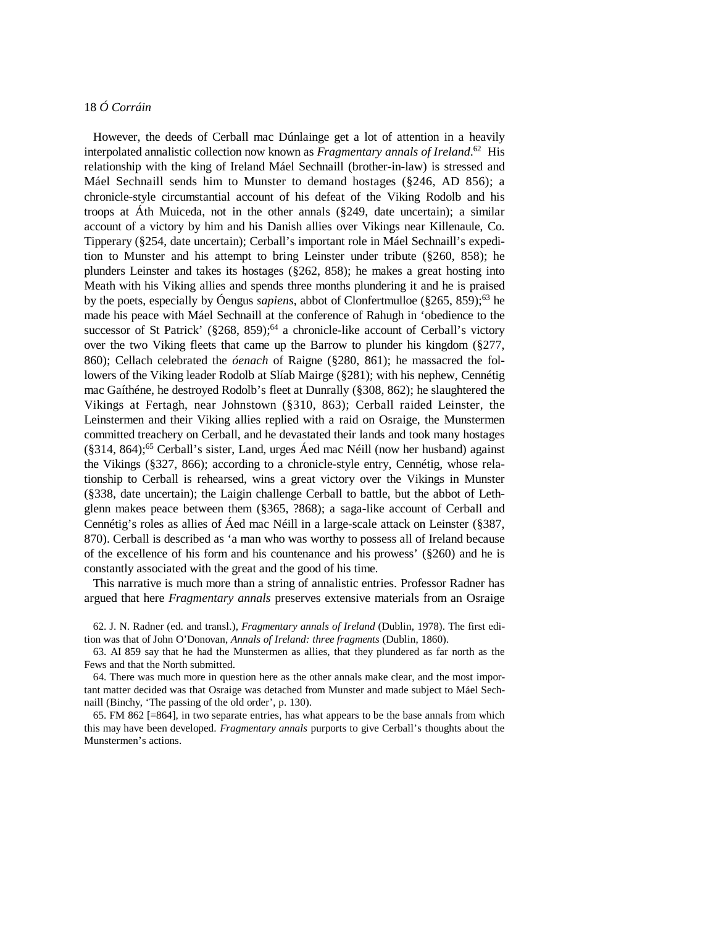However, the deeds of Cerball mac Dúnlainge get a lot of attention in a heavily interpolated annalistic collection now known as *Fragmentary annals of Ireland*. <sup>62</sup> His relationship with the king of Ireland Máel Sechnaill (brother-in-law) is stressed and Máel Sechnaill sends him to Munster to demand hostages (§246, AD 856); a chronicle-style circumstantial account of his defeat of the Viking Rodolb and his troops at Áth Muiceda, not in the other annals (§249, date uncertain); a similar account of a victory by him and his Danish allies over Vikings near Killenaule, Co. Tipperary (§254, date uncertain); Cerball's important role in Máel Sechnaill's expedition to Munster and his attempt to bring Leinster under tribute (§260, 858); he plunders Leinster and takes its hostages (§262, 858); he makes a great hosting into Meath with his Viking allies and spends three months plundering it and he is praised by the poets, especially by Óengus *sapiens*, abbot of Clonfertmulloe (§265, 859);<sup>63</sup> he made his peace with Máel Sechnaill at the conference of Rahugh in 'obedience to the successor of St Patrick' ( $§268, 859$ );<sup>64</sup> a chronicle-like account of Cerball's victory over the two Viking fleets that came up the Barrow to plunder his kingdom (§277, 860); Cellach celebrated the *óenach* of Raigne (§280, 861); he massacred the followers of the Viking leader Rodolb at Slíab Mairge (§281); with his nephew, Cennétig mac Gaíthéne, he destroyed Rodolb's fleet at Dunrally (§308, 862); he slaughtered the Vikings at Fertagh, near Johnstown (§310, 863); Cerball raided Leinster, the Leinstermen and their Viking allies replied with a raid on Osraige, the Munstermen committed treachery on Cerball, and he devastated their lands and took many hostages  $(\S 314, 864)$ ;<sup>65</sup> Cerball's sister, Land, urges Áed mac Néill (now her husband) against the Vikings (§327, 866); according to a chronicle-style entry, Cennétig, whose relationship to Cerball is rehearsed, wins a great victory over the Vikings in Munster (§338, date uncertain); the Laigin challenge Cerball to battle, but the abbot of Lethglenn makes peace between them (§365, ?868); a saga-like account of Cerball and Cennétig's roles as allies of Áed mac Néill in a large-scale attack on Leinster (§387, 870). Cerball is described as 'a man who was worthy to possess all of Ireland because of the excellence of his form and his countenance and his prowess' (§260) and he is constantly associated with the great and the good of his time.

This narrative is much more than a string of annalistic entries. Professor Radner has argued that here *Fragmentary annals* preserves extensive materials from an Osraige

62. J. N. Radner (ed. and transl.), *Fragmentary annals of Ireland* (Dublin, 1978). The first edition was that of John O'Donovan, *Annals of Ireland: three fragments* (Dublin, 1860).

63. AI 859 say that he had the Munstermen as allies, that they plundered as far north as the Fews and that the North submitted.

64. There was much more in question here as the other annals make clear, and the most important matter decided was that Osraige was detached from Munster and made subject to Máel Sechnaill (Binchy, 'The passing of the old order', p. 130).

65. FM 862 [=864], in two separate entries, has what appears to be the base annals from which this may have been developed. *Fragmentary annals* purports to give Cerball's thoughts about the Munstermen's actions.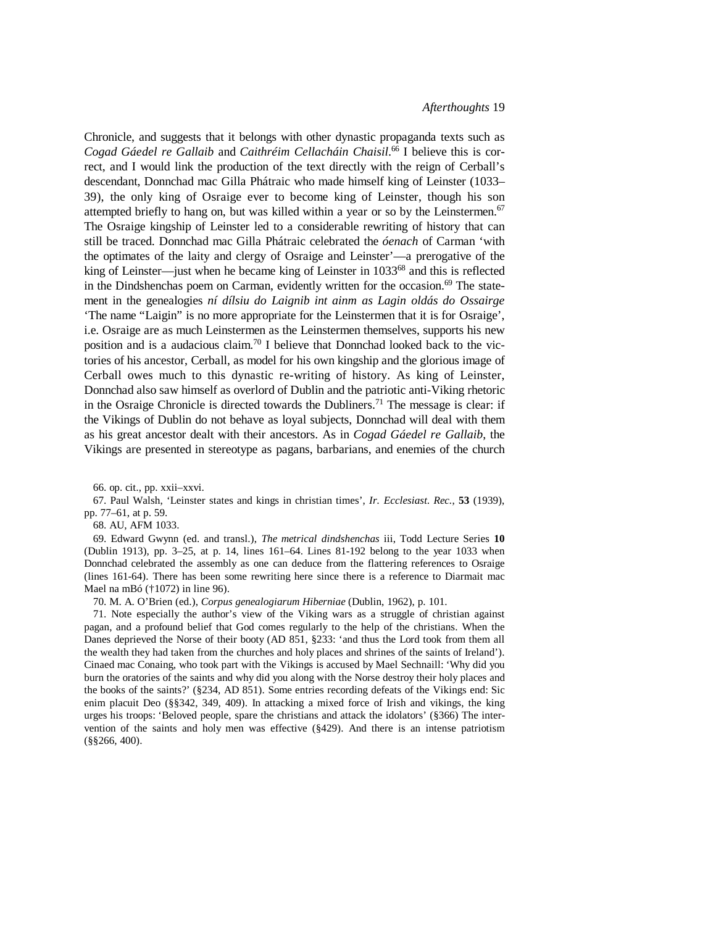Chronicle, and suggests that it belongs with other dynastic propaganda texts such as *Cogad Gáedel re Gallaib* and *Caithréim Cellacháin Chaisil*. <sup>66</sup> I believe this is correct, and I would link the production of the text directly with the reign of Cerball's descendant, Donnchad mac Gilla Phátraic who made himself king of Leinster (1033– 39), the only king of Osraige ever to become king of Leinster, though his son attempted briefly to hang on, but was killed within a year or so by the Leinstermen.<sup>67</sup> The Osraige kingship of Leinster led to a considerable rewriting of history that can still be traced. Donnchad mac Gilla Phátraic celebrated the *óenach* of Carman 'with the optimates of the laity and clergy of Osraige and Leinster'—a prerogative of the king of Leinster—just when he became king of Leinster in 1033<sup>68</sup> and this is reflected in the Dindshenchas poem on Carman, evidently written for the occasion.<sup>69</sup> The statement in the genealogies *ní dílsiu do Laignib int ainm as Lagin oldás do Ossairge* 'The name "Laigin" is no more appropriate for the Leinstermen that it is for Osraige', i.e. Osraige are as much Leinstermen as the Leinstermen themselves, supports his new position and is a audacious claim.<sup>70</sup> I believe that Donnchad looked back to the victories of his ancestor, Cerball, as model for his own kingship and the glorious image of Cerball owes much to this dynastic re-writing of history. As king of Leinster, Donnchad also saw himself as overlord of Dublin and the patriotic anti-Viking rhetoric in the Osraige Chronicle is directed towards the Dubliners.<sup>71</sup> The message is clear: if the Vikings of Dublin do not behave as loyal subjects, Donnchad will deal with them as his great ancestor dealt with their ancestors. As in *Cogad Gáedel re Gallaib*, the Vikings are presented in stereotype as pagans, barbarians, and enemies of the church

67. Paul Walsh, 'Leinster states and kings in christian times', *Ir. Ecclesiast. Rec.*, **53** (1939), pp. 77–61, at p. 59.

69. Edward Gwynn (ed. and transl.), *The metrical dindshenchas* iii, Todd Lecture Series **10** (Dublin 1913), pp. 3–25, at p. 14, lines 161–64. Lines 81-192 belong to the year 1033 when Donnchad celebrated the assembly as one can deduce from the flattering references to Osraige (lines 161-64). There has been some rewriting here since there is a reference to Diarmait mac Mael na mBó (†1072) in line 96).

70. M. A. O'Brien (ed.), *Corpus genealogiarum Hiberniae* (Dublin, 1962), p. 101.

71. Note especially the author's view of the Viking wars as a struggle of christian against pagan, and a profound belief that God comes regularly to the help of the christians. When the Danes deprieved the Norse of their booty (AD 851, §233: 'and thus the Lord took from them all the wealth they had taken from the churches and holy places and shrines of the saints of Ireland'). Cinaed mac Conaing, who took part with the Vikings is accused by Mael Sechnaill: 'Why did you burn the oratories of the saints and why did you along with the Norse destroy their holy places and the books of the saints?' (§234, AD 851). Some entries recording defeats of the Vikings end: Sic enim placuit Deo (§§342, 349, 409). In attacking a mixed force of Irish and vikings, the king urges his troops: 'Beloved people, spare the christians and attack the idolators' (§366) The intervention of the saints and holy men was effective (§429). And there is an intense patriotism (§§266, 400).

<sup>66.</sup> op. cit., pp. xxii–xxvi.

<sup>68.</sup> AU, AFM 1033.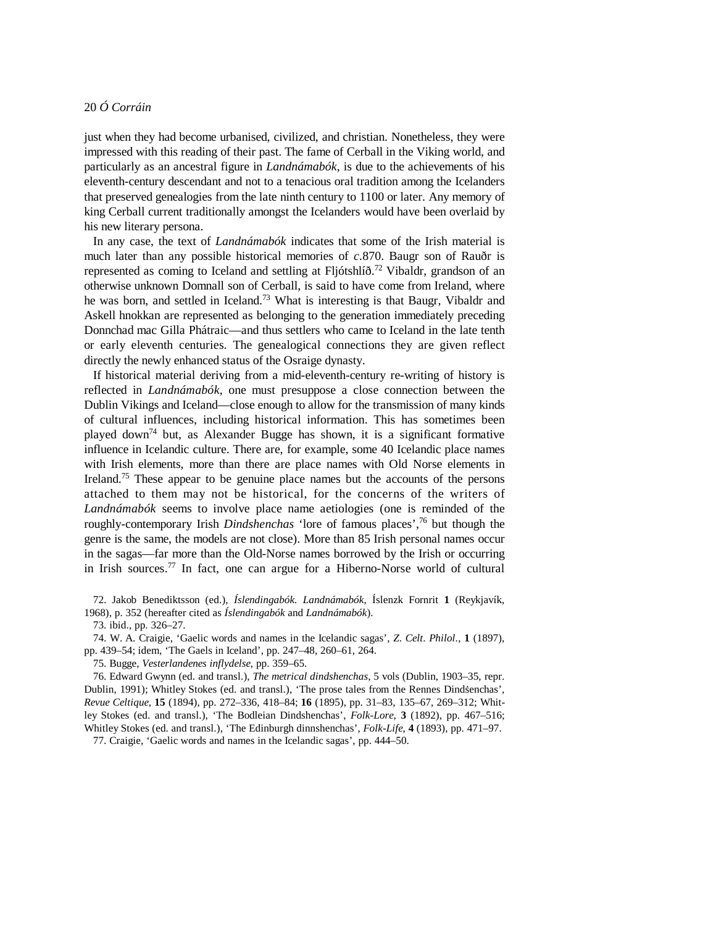just when they had become urbanised, civilized, and christian. Nonetheless, they were impressed with this reading of their past. The fame of Cerball in the Viking world, and particularly as an ancestral figure in *Landnámabók*, is due to the achievements of his eleventh-century descendant and not to a tenacious oral tradition among the Icelanders that preserved genealogies from the late ninth century to 1100 or later. Any memory of king Cerball current traditionally amongst the Icelanders would have been overlaid by his new literary persona.

In any case, the text of *Landnámabók* indicates that some of the Irish material is much later than any possible historical memories of *c.*870. Baugr son of Rauðr is represented as coming to Iceland and settling at Fljótshlíð.<sup>72</sup> Vibaldr, grandson of an otherwise unknown Domnall son of Cerball, is said to have come from Ireland, where he was born, and settled in Iceland.<sup>73</sup> What is interesting is that Baugr, Vibaldr and Askell hnokkan are represented as belonging to the generation immediately preceding Donnchad mac Gilla Phátraic—and thus settlers who came to Iceland in the late tenth or early eleventh centuries. The genealogical connections they are given reflect directly the newly enhanced status of the Osraige dynasty.

If historical material deriving from a mid-eleventh-century re-writing of history is reflected in *Landnámabók*, one must presuppose a close connection between the Dublin Vikings and Iceland—close enough to allow for the transmission of many kinds of cultural influences, including historical information. This has sometimes been played down<sup>74</sup> but, as Alexander Bugge has shown, it is a significant formative influence in Icelandic culture. There are, for example, some 40 Icelandic place names with Irish elements, more than there are place names with Old Norse elements in Ireland.<sup>75</sup> These appear to be genuine place names but the accounts of the persons attached to them may not be historical, for the concerns of the writers of *Landnámabók* seems to involve place name aetiologies (one is reminded of the roughly-contemporary Irish *Dindshenchas* 'lore of famous places',<sup>76</sup> but though the genre is the same, the models are not close). More than 85 Irish personal names occur in the sagas—far more than the Old-Norse names borrowed by the Irish or occurring in Irish sources.<sup>77</sup> In fact, one can argue for a Hiberno-Norse world of cultural

72. Jakob Benediktsson (ed.), *Íslendingabók. Landnámabók*, Íslenzk Fornrit **1** (Reykjavík, 1968), p. 352 (hereafter cited as *Íslendingabók* and *Landnámabók*).

73. ibid., pp. 326–27.

74. W. A. Craigie, 'Gaelic words and names in the Icelandic sagas', *Z*. *Celt*. *Philol*., **1** (1897), pp. 439–54; idem, 'The Gaels in Iceland', pp. 247–48, 260–61, 264.

75. Bugge, *Vesterlandenes inflydelse*, pp. 359–65.

76. Edward Gwynn (ed. and transl.), *The metrical dindshenchas*, 5 vols (Dublin, 1903–35, repr. For Edward Strylin (cd. and transl.), The *metrical amassiements*, 5 Vols (Edsin, 1985 55, repr. Dublin, 1991); Whitley Stokes (ed. and transl.), 'The prose tales from the Rennes Dindsenchas', *Revue Celtique*, **15** (1894), pp. 272–336, 418–84; **16** (1895), pp. 31–83, 135–67, 269–312; Whitley Stokes (ed. and transl.), 'The Bodleian Dindshenchas', *Folk-Lore*, **3** (1892), pp. 467–516; Whitley Stokes (ed. and transl.), 'The Edinburgh dinnshenchas', *Folk-Life*, **4** (1893), pp. 471–97.

77. Craigie, 'Gaelic words and names in the Icelandic sagas', pp. 444–50.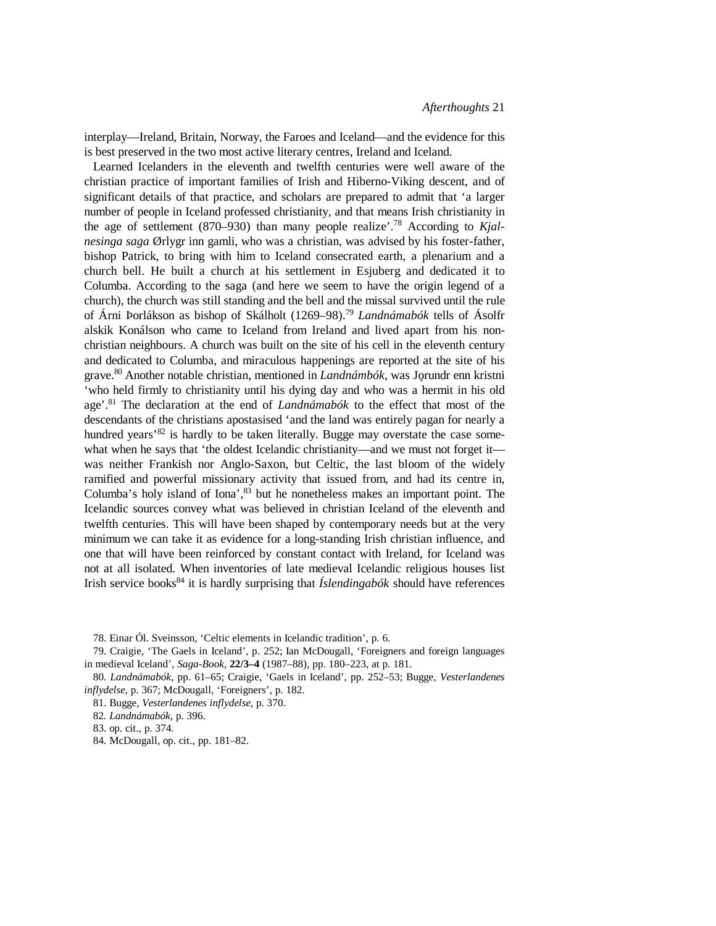interplay—Ireland, Britain, Norway, the Faroes and Iceland—and the evidence for this is best preserved in the two most active literary centres, Ireland and Iceland.

Learned Icelanders in the eleventh and twelfth centuries were well aware of the christian practice of important families of Irish and Hiberno-Viking descent, and of significant details of that practice, and scholars are prepared to admit that 'a larger number of people in Iceland professed christianity, and that means Irish christianity in the age of settlement (870–930) than many people realize'.<sup>78</sup> According to *Kjalnesinga saga* Ørlygr inn gamli, who was a christian, was advised by his foster-father, bishop Patrick, to bring with him to Iceland consecrated earth, a plenarium and a church bell. He built a church at his settlement in Esjuberg and dedicated it to Columba. According to the saga (and here we seem to have the origin legend of a church), the church was still standing and the bell and the missal survived until the rule of Árni Þorlákson as bishop of Skálholt (1269–98).<sup>79</sup> *Landnámabók* tells of Ásolfr alskik Konálson who came to Iceland from Ireland and lived apart from his nonchristian neighbours. A church was built on the site of his cell in the eleventh century and dedicated to Columba, and miraculous happenings are reported at the site of his grave.<sup>80</sup> Another notable christian, mentioned in *Landnámbók*, was Jo˛rundr enn kristni 'who held firmly to christianity until his dying day and who was a hermit in his old age'.<sup>81</sup> The declaration at the end of *Landnámabók* to the effect that most of the descendants of the christians apostasised 'and the land was entirely pagan for nearly a hundred years<sup>'82</sup> is hardly to be taken literally. Bugge may overstate the case somewhat when he says that 'the oldest Icelandic christianity—and we must not forget it was neither Frankish nor Anglo-Saxon, but Celtic, the last bloom of the widely ramified and powerful missionary activity that issued from, and had its centre in, Columba's holy island of Iona',  $83$  but he nonetheless makes an important point. The Icelandic sources convey what was believed in christian Iceland of the eleventh and twelfth centuries. This will have been shaped by contemporary needs but at the very minimum we can take it as evidence for a long-standing Irish christian influence, and one that will have been reinforced by constant contact with Ireland, for Iceland was not at all isolated. When inventories of late medieval Icelandic religious houses list Irish service books<sup>84</sup> it is hardly surprising that *Íslendingabók* should have references

- 79. Craigie, 'The Gaels in Iceland', p. 252; Ian McDougall, 'Foreigners and foreign languages in medieval Iceland', *Saga-Book*, **22/3–4** (1987–88), pp. 180–223, at p. 181.
- 80. *Landnámabók*, pp. 61–65; Craigie, 'Gaels in Iceland', pp. 252–53; Bugge, *Vesterlandenes inflydelse*, p. 367; McDougall, 'Foreigners', p. 182.
	- 81. Bugge, *Vesterlandenes inflydelse*, p. 370.

<sup>78.</sup> Einar Ól. Sveinsson, 'Celtic elements in Icelandic tradition', p. 6.

<sup>82.</sup> *Landnámabók*, p. 396.

<sup>83.</sup> op. cit., p. 374.

<sup>84.</sup> McDougall, op. cit., pp. 181–82.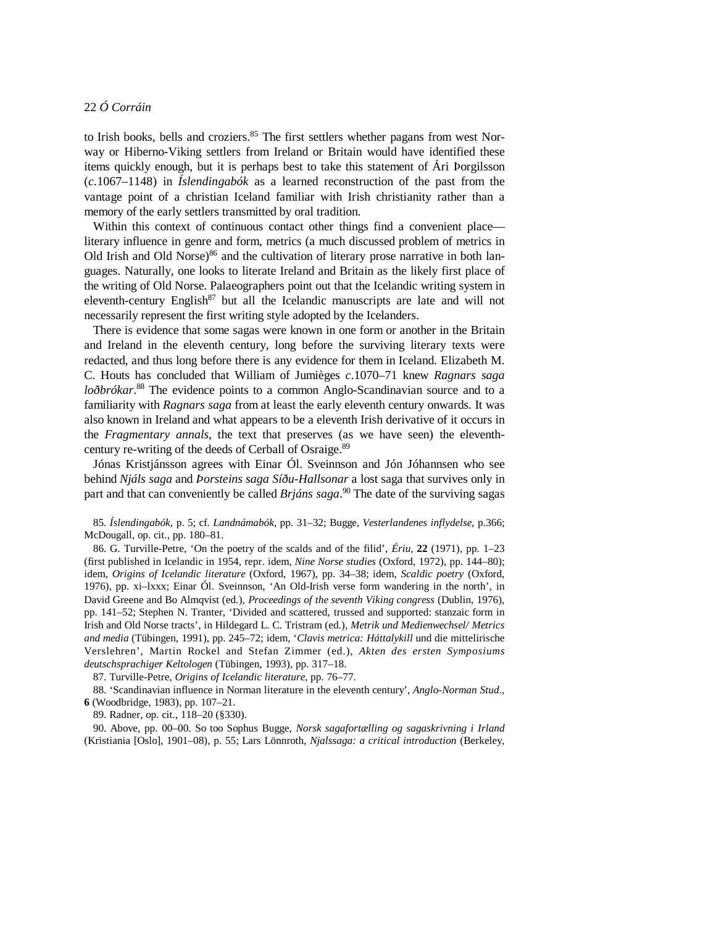to Irish books, bells and croziers.<sup>85</sup> The first settlers whether pagans from west Norway or Hiberno-Viking settlers from Ireland or Britain would have identified these items quickly enough, but it is perhaps best to take this statement of Ári Þorgilsson (*c.*1067–1148) in *Íslendingabók* as a learned reconstruction of the past from the vantage point of a christian Iceland familiar with Irish christianity rather than a memory of the early settlers transmitted by oral tradition.

Within this context of continuous contact other things find a convenient place literary influence in genre and form, metrics (a much discussed problem of metrics in Old Irish and Old Norse $)^{86}$  and the cultivation of literary prose narrative in both languages. Naturally, one looks to literate Ireland and Britain as the likely first place of the writing of Old Norse. Palaeographers point out that the Icelandic writing system in eleventh-century English $87$  but all the Icelandic manuscripts are late and will not necessarily represent the first writing style adopted by the Icelanders.

There is evidence that some sagas were known in one form or another in the Britain and Ireland in the eleventh century, long before the surviving literary texts were redacted, and thus long before there is any evidence for them in Iceland. Elizabeth M. C. Houts has concluded that William of Jumièges *c*.1070–71 knew *Ragnars saga loðbrókar*. <sup>88</sup> The evidence points to a common Anglo-Scandinavian source and to a familiarity with *Ragnars saga* from at least the early eleventh century onwards. It was also known in Ireland and what appears to be a eleventh Irish derivative of it occurs in the *Fragmentary annals*, the text that preserves (as we have seen) the eleventhcentury re-writing of the deeds of Cerball of Osraige.<sup>89</sup>

Jónas Kristjánsson agrees with Einar Ól. Sveinnson and Jón Jóhannsen who see behind *Njáls saga* and *Þorsteins saga Síðu-Hallsonar* a lost saga that survives only in part and that can conveniently be called *Brjáns saga*. <sup>90</sup> The date of the surviving sagas

85. *Íslendingabók*, p. 5; cf. *Landnámabók*, pp. 31–32; Bugge, *Vesterlandenes inflydelse*, p.366; McDougall, op. cit., pp. 180–81.

86. G. Turville-Petre, 'On the poetry of the scalds and of the filid', *Ériu*, **22** (1971), pp. 1–23 (first published in Icelandic in 1954, repr. idem, *Nine Norse studies* (Oxford, 1972), pp. 144–80); idem, *Origins of Icelandic literature* (Oxford, 1967), pp. 34–38; idem, *Scaldic poetry* (Oxford, 1976), pp. xi–lxxx; Einar Ól. Sveinnson, 'An Old-Irish verse form wandering in the north', in David Greene and Bo Almqvist (ed.), *Proceedings of the seventh Viking congress* (Dublin, 1976), pp. 141–52; Stephen N. Tranter, 'Divided and scattered, trussed and supported: stanzaic form in Irish and Old Norse tracts', in Hildegard L. C. Tristram (ed.), *Metrik und Medienwechsel/ Metrics and media* (Tübingen, 1991), pp. 245–72; idem, '*Clavis metrica: Háttalykill* und die mittelirische Verslehren', Martin Rockel and Stefan Zimmer (ed.), *Akten des ersten Symposiums deutschsprachiger Keltologen* (Tübingen, 1993), pp. 317–18.

87. Turville-Petre, *Origins of Icelandic literature*, pp. 76–77.

88. 'Scandinavian influence in Norman literature in the eleventh century', *Anglo-Norman Stud*., **6** (Woodbridge, 1983), pp. 107–21.

89. Radner, op. cit., 118–20 (§330).

90. Above, pp. 00–00. So too Sophus Bugge, *Norsk sagafortælling og sagaskrivning i Irland* (Kristiania [Oslo], 1901–08), p. 55; Lars Lönnroth, *Njalssaga: a critical introduction* (Berkeley,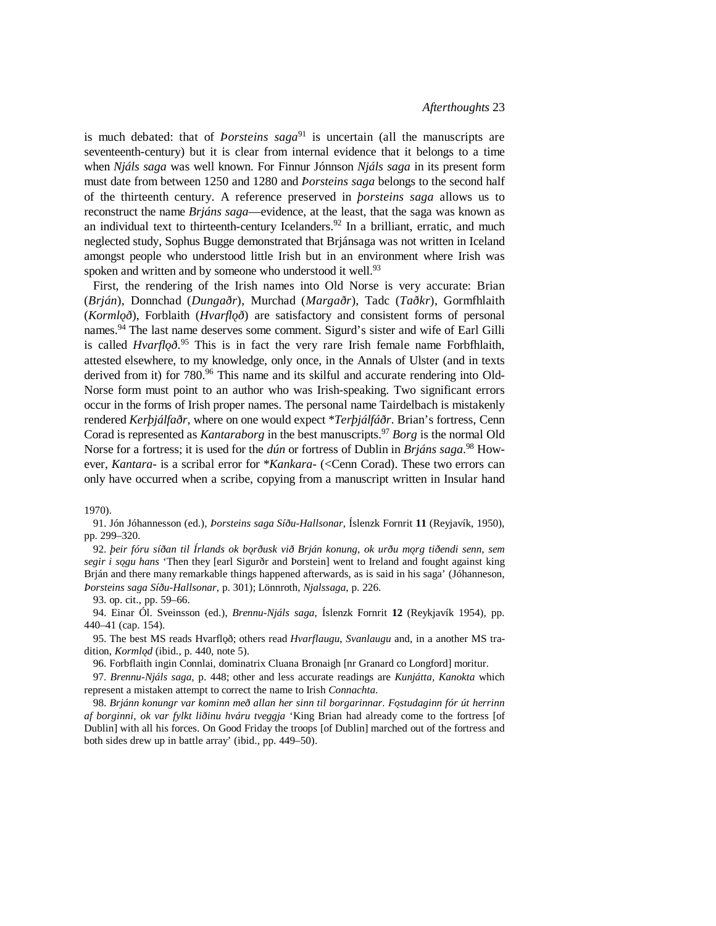is much debated: that of *Þorsteins saga*<sup>91</sup> is uncertain (all the manuscripts are seventeenth-century) but it is clear from internal evidence that it belongs to a time when *Njáls saga* was well known. For Finnur Jónnson *Njáls saga* in its present form must date from between 1250 and 1280 and *Þorsteins saga* belongs to the second half of the thirteenth century. A reference preserved in *þorsteins saga* allows us to reconstruct the name *Brjáns saga*—evidence, at the least, that the saga was known as an individual text to thirteenth-century Icelanders.<sup>92</sup> In a brilliant, erratic, and much neglected study, Sophus Bugge demonstrated that Brjánsaga was not written in Iceland amongst people who understood little Irish but in an environment where Irish was spoken and written and by someone who understood it well.<sup>93</sup>

First, the rendering of the Irish names into Old Norse is very accurate: Brian (*Brján*), Donnchad (*Dungaðr*), Murchad (*Margaðr*), Tadc (*Taðkr*), Gormfhlaith (*Kormlo˛ð*), Forblaith (*Hvarflo˛ð*) are satisfactory and consistent forms of personal names.<sup>94</sup> The last name deserves some comment. Sigurd's sister and wife of Earl Gilli is called *Hvarflo* $\delta$ <sup>95</sup> This is in fact the very rare Irish female name Forbfhlaith, attested elsewhere, to my knowledge, only once, in the Annals of Ulster (and in texts derived from it) for  $780.96$  This name and its skilful and accurate rendering into Old-Norse form must point to an author who was Irish-speaking. Two significant errors occur in the forms of Irish proper names. The personal name Tairdelbach is mistakenly rendered *Kerþjálfaðr*, where on one would expect \**Terþjálfáðr*. Brian's fortress, Cenn Corad is represented as *Kantaraborg* in the best manuscripts.<sup>97</sup> *Borg* is the normal Old Norse for a fortress; it is used for the *dún* or fortress of Dublin in *Brjáns saga*. <sup>98</sup> However, *Kantara-* is a scribal error for \**Kankara-* (<Cenn Corad). These two errors can only have occurred when a scribe, copying from a manuscript written in Insular hand

#### 1970).

91. Jón Jóhannesson (ed.), *Þorsteins saga Síðu-Hallsonar*, Íslenzk Fornrit **11** (Reyjavík, 1950), pp. 299–320.

92. þeir fóru síðan til Írlands ok borðusk við Brján konung, ok urðu morg tiðendi senn, sem *segir i so˛gu hans* 'Then they [earl Sigurðr and Þorstein] went to Ireland and fought against king Brján and there many remarkable things happened afterwards, as is said in his saga' (Jóhanneson, *Þorsteins saga Síðu-Hallsonar*, p. 301); Lönnroth, *Njalssaga*, p. 226.

#### 93. op. cit., pp. 59–66.

94. Einar Ól. Sveinsson (ed.), *Brennu-Njáls saga*, Íslenzk Fornrit **12** (Reykjavík 1954), pp. 440–41 (cap. 154).

95. The best MS reads Hvarfloð; others read *Hvarflaugu*, *Svanlaugu* and, in a another MS tradition, *Kormlo˛d* (ibid., p. 440, note 5).

96. Forbflaith ingin Connlai, dominatrix Cluana Bronaigh [nr Granard co Longford] moritur.

97. *Brennu-Njáls saga*, p. 448; other and less accurate readings are *Kunjátta, Kanokta* which represent a mistaken attempt to correct the name to Irish *Connachta*.

98. *Brjánn konungr var kominn með allan her sinn til borgarinnar. Fo˛studaginn fór út herrinn af borginni, ok var fylkt liðinu hváru tveggja* 'King Brian had already come to the fortress [of Dublin] with all his forces. On Good Friday the troops [of Dublin] marched out of the fortress and both sides drew up in battle array' (ibid., pp. 449–50).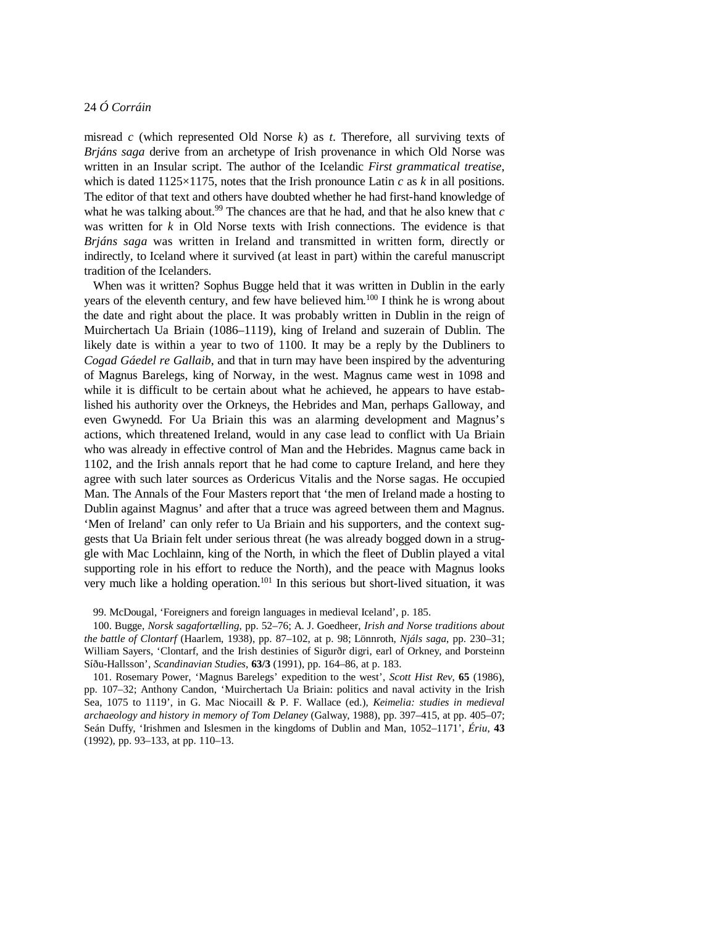misread *c* (which represented Old Norse *k*) as *t*. Therefore, all surviving texts of *Brjáns saga* derive from an archetype of Irish provenance in which Old Norse was written in an Insular script. The author of the Icelandic *First grammatical treatise*, which is dated 1125×1175, notes that the Irish pronounce Latin  $c$  as  $k$  in all positions. The editor of that text and others have doubted whether he had first-hand knowledge of what he was talking about.<sup>99</sup> The chances are that he had, and that he also knew that  $c$ was written for *k* in Old Norse texts with Irish connections. The evidence is that *Brjáns saga* was written in Ireland and transmitted in written form, directly or indirectly, to Iceland where it survived (at least in part) within the careful manuscript tradition of the Icelanders.

When was it written? Sophus Bugge held that it was written in Dublin in the early years of the eleventh century, and few have believed him.<sup>100</sup> I think he is wrong about the date and right about the place. It was probably written in Dublin in the reign of Muirchertach Ua Briain (1086–1119), king of Ireland and suzerain of Dublin. The likely date is within a year to two of 1100. It may be a reply by the Dubliners to *Cogad Gáedel re Gallaib*, and that in turn may have been inspired by the adventuring of Magnus Barelegs, king of Norway, in the west. Magnus came west in 1098 and while it is difficult to be certain about what he achieved, he appears to have established his authority over the Orkneys, the Hebrides and Man, perhaps Galloway, and even Gwynedd. For Ua Briain this was an alarming development and Magnus's actions, which threatened Ireland, would in any case lead to conflict with Ua Briain who was already in effective control of Man and the Hebrides. Magnus came back in 1102, and the Irish annals report that he had come to capture Ireland, and here they agree with such later sources as Ordericus Vitalis and the Norse sagas. He occupied Man. The Annals of the Four Masters report that 'the men of Ireland made a hosting to Dublin against Magnus' and after that a truce was agreed between them and Magnus. 'Men of Ireland' can only refer to Ua Briain and his supporters, and the context suggests that Ua Briain felt under serious threat (he was already bogged down in a struggle with Mac Lochlainn, king of the North, in which the fleet of Dublin played a vital supporting role in his effort to reduce the North), and the peace with Magnus looks very much like a holding operation.<sup>101</sup> In this serious but short-lived situation, it was

99. McDougal, 'Foreigners and foreign languages in medieval Iceland', p. 185.

100. Bugge, *Norsk sagafortælling*, pp. 52–76; A. J. Goedheer, *Irish and Norse traditions about the battle of Clontarf* (Haarlem, 1938), pp. 87–102, at p. 98; Lönnroth, *Njáls saga*, pp. 230–31; William Sayers, 'Clontarf, and the Irish destinies of Sigurðr digri, earl of Orkney, and Þorsteinn Síðu-Hallsson', *Scandinavian Studies*, **63/3** (1991), pp. 164–86, at p. 183.

101. Rosemary Power, 'Magnus Barelegs' expedition to the west', *Scott Hist Rev*, **65** (1986), pp. 107–32; Anthony Candon, 'Muirchertach Ua Briain: politics and naval activity in the Irish Sea, 1075 to 1119', in G. Mac Niocaill & P. F. Wallace (ed.), *Keimelia: studies in medieval archaeology and history in memory of Tom Delaney* (Galway, 1988), pp. 397–415, at pp. 405–07; Seán Duffy, 'Irishmen and Islesmen in the kingdoms of Dublin and Man, 1052–1171', *Ériu*, **43** (1992), pp. 93–133, at pp. 110–13.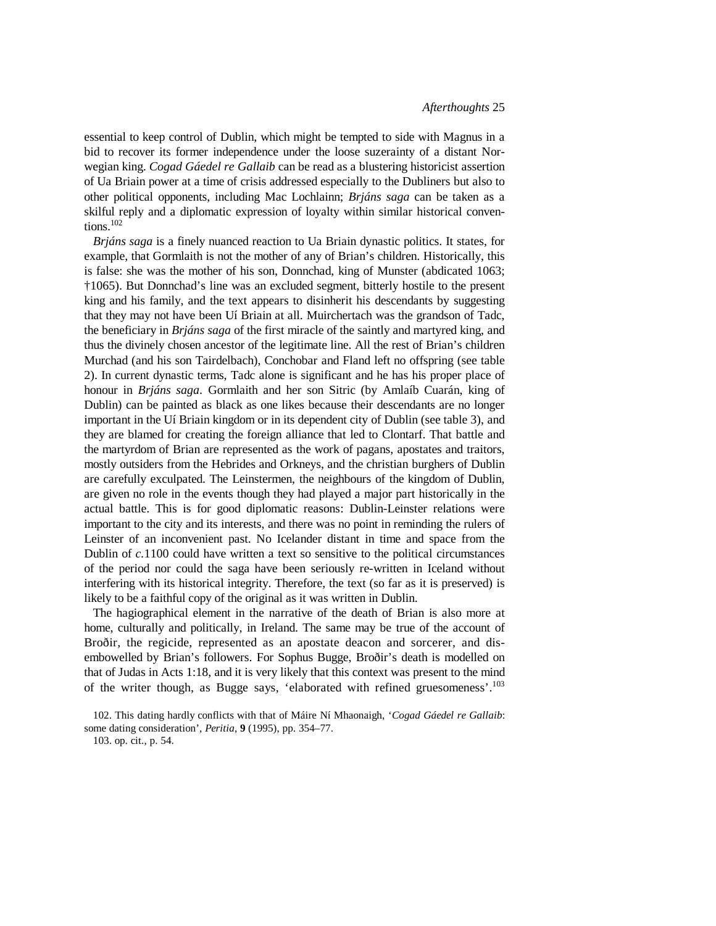essential to keep control of Dublin, which might be tempted to side with Magnus in a bid to recover its former independence under the loose suzerainty of a distant Norwegian king. *Cogad Gáedel re Gallaib* can be read as a blustering historicist assertion of Ua Briain power at a time of crisis addressed especially to the Dubliners but also to other political opponents, including Mac Lochlainn; *Brjáns saga* can be taken as a skilful reply and a diplomatic expression of loyalty within similar historical conventions.<sup>102</sup>

*Brjáns saga* is a finely nuanced reaction to Ua Briain dynastic politics. It states, for example, that Gormlaith is not the mother of any of Brian's children. Historically, this is false: she was the mother of his son, Donnchad, king of Munster (abdicated 1063; †1065). But Donnchad's line was an excluded segment, bitterly hostile to the present king and his family, and the text appears to disinherit his descendants by suggesting that they may not have been Uí Briain at all. Muirchertach was the grandson of Tadc, the beneficiary in *Brjáns saga* of the first miracle of the saintly and martyred king, and thus the divinely chosen ancestor of the legitimate line. All the rest of Brian's children Murchad (and his son Tairdelbach), Conchobar and Fland left no offspring (see table 2). In current dynastic terms, Tadc alone is significant and he has his proper place of honour in *Brjáns saga*. Gormlaith and her son Sitric (by Amlaíb Cuarán, king of Dublin) can be painted as black as one likes because their descendants are no longer important in the Uí Briain kingdom or in its dependent city of Dublin (see table 3), and they are blamed for creating the foreign alliance that led to Clontarf. That battle and the martyrdom of Brian are represented as the work of pagans, apostates and traitors, mostly outsiders from the Hebrides and Orkneys, and the christian burghers of Dublin are carefully exculpated. The Leinstermen, the neighbours of the kingdom of Dublin, are given no role in the events though they had played a major part historically in the actual battle. This is for good diplomatic reasons: Dublin-Leinster relations were important to the city and its interests, and there was no point in reminding the rulers of Leinster of an inconvenient past. No Icelander distant in time and space from the Dublin of *c.*1100 could have written a text so sensitive to the political circumstances of the period nor could the saga have been seriously re-written in Iceland without interfering with its historical integrity. Therefore, the text (so far as it is preserved) is likely to be a faithful copy of the original as it was written in Dublin.

The hagiographical element in the narrative of the death of Brian is also more at home, culturally and politically, in Ireland. The same may be true of the account of Broðir, the regicide, represented as an apostate deacon and sorcerer, and disembowelled by Brian's followers. For Sophus Bugge, Broðir's death is modelled on that of Judas in Acts 1:18, and it is very likely that this context was present to the mind of the writer though, as Bugge says, 'elaborated with refined gruesomeness'.<sup>103</sup>

<sup>102.</sup> This dating hardly conflicts with that of Máire Ní Mhaonaigh, '*Cogad Gáedel re Gallaib*: some dating consideration', *Peritia*, **9** (1995), pp. 354–77.

<sup>103.</sup> op. cit., p. 54.